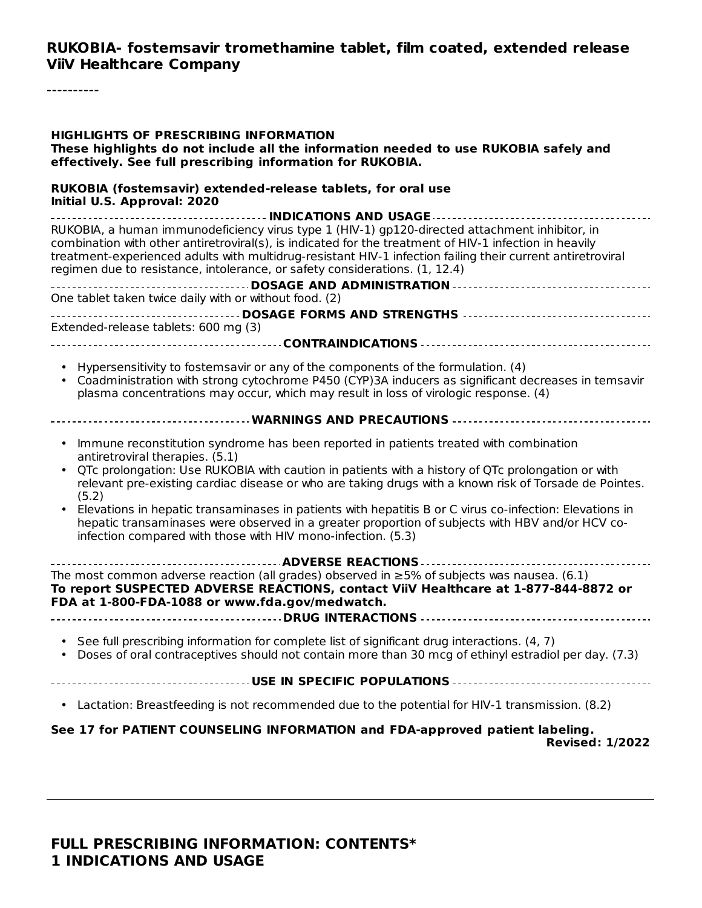#### **RUKOBIA- fostemsavir tromethamine tablet, film coated, extended release ViiV Healthcare Company**

----------

| <b>HIGHLIGHTS OF PRESCRIBING INFORMATION</b><br>These highlights do not include all the information needed to use RUKOBIA safely and<br>effectively. See full prescribing information for RUKOBIA.                                                                                                                                                                                                                                                                                                                                                                                                                             |
|--------------------------------------------------------------------------------------------------------------------------------------------------------------------------------------------------------------------------------------------------------------------------------------------------------------------------------------------------------------------------------------------------------------------------------------------------------------------------------------------------------------------------------------------------------------------------------------------------------------------------------|
| RUKOBIA (fostemsavir) extended-release tablets, for oral use<br>Initial U.S. Approval: 2020                                                                                                                                                                                                                                                                                                                                                                                                                                                                                                                                    |
| RUKOBIA, a human immunodeficiency virus type 1 (HIV-1) gp120-directed attachment inhibitor, in<br>combination with other antiretroviral(s), is indicated for the treatment of HIV-1 infection in heavily<br>treatment-experienced adults with multidrug-resistant HIV-1 infection failing their current antiretroviral<br>regimen due to resistance, intolerance, or safety considerations. (1, 12.4)                                                                                                                                                                                                                          |
| One tablet taken twice daily with or without food. (2)                                                                                                                                                                                                                                                                                                                                                                                                                                                                                                                                                                         |
|                                                                                                                                                                                                                                                                                                                                                                                                                                                                                                                                                                                                                                |
| Extended-release tablets: 600 mg (3)                                                                                                                                                                                                                                                                                                                                                                                                                                                                                                                                                                                           |
|                                                                                                                                                                                                                                                                                                                                                                                                                                                                                                                                                                                                                                |
| • Hypersensitivity to fostemsavir or any of the components of the formulation. (4)<br>Coadministration with strong cytochrome P450 (CYP)3A inducers as significant decreases in temsavir<br>plasma concentrations may occur, which may result in loss of virologic response. (4)                                                                                                                                                                                                                                                                                                                                               |
|                                                                                                                                                                                                                                                                                                                                                                                                                                                                                                                                                                                                                                |
| Immune reconstitution syndrome has been reported in patients treated with combination<br>antiretroviral therapies. (5.1)<br>QTc prolongation: Use RUKOBIA with caution in patients with a history of QTc prolongation or with<br>relevant pre-existing cardiac disease or who are taking drugs with a known risk of Torsade de Pointes.<br>(5.2)<br>Elevations in hepatic transaminases in patients with hepatitis B or C virus co-infection: Elevations in<br>hepatic transaminases were observed in a greater proportion of subjects with HBV and/or HCV co-<br>infection compared with those with HIV mono-infection. (5.3) |
| The most common adverse reaction (all grades) observed in $\geq$ 5% of subjects was nausea. (6.1)<br>To report SUSPECTED ADVERSE REACTIONS, contact ViiV Healthcare at 1-877-844-8872 or<br>FDA at 1-800-FDA-1088 or www.fda.gov/medwatch.                                                                                                                                                                                                                                                                                                                                                                                     |
|                                                                                                                                                                                                                                                                                                                                                                                                                                                                                                                                                                                                                                |
| See full prescribing information for complete list of significant drug interactions. (4, 7)<br>Doses of oral contraceptives should not contain more than 30 mcg of ethinyl estradiol per day. (7.3)                                                                                                                                                                                                                                                                                                                                                                                                                            |
|                                                                                                                                                                                                                                                                                                                                                                                                                                                                                                                                                                                                                                |
| • Lactation: Breastfeeding is not recommended due to the potential for HIV-1 transmission. (8.2)                                                                                                                                                                                                                                                                                                                                                                                                                                                                                                                               |
| See 17 for PATIENT COUNSELING INFORMATION and FDA-approved patient labeling.<br><b>Revised: 1/2022</b>                                                                                                                                                                                                                                                                                                                                                                                                                                                                                                                         |

#### **FULL PRESCRIBING INFORMATION: CONTENTS\* 1 INDICATIONS AND USAGE**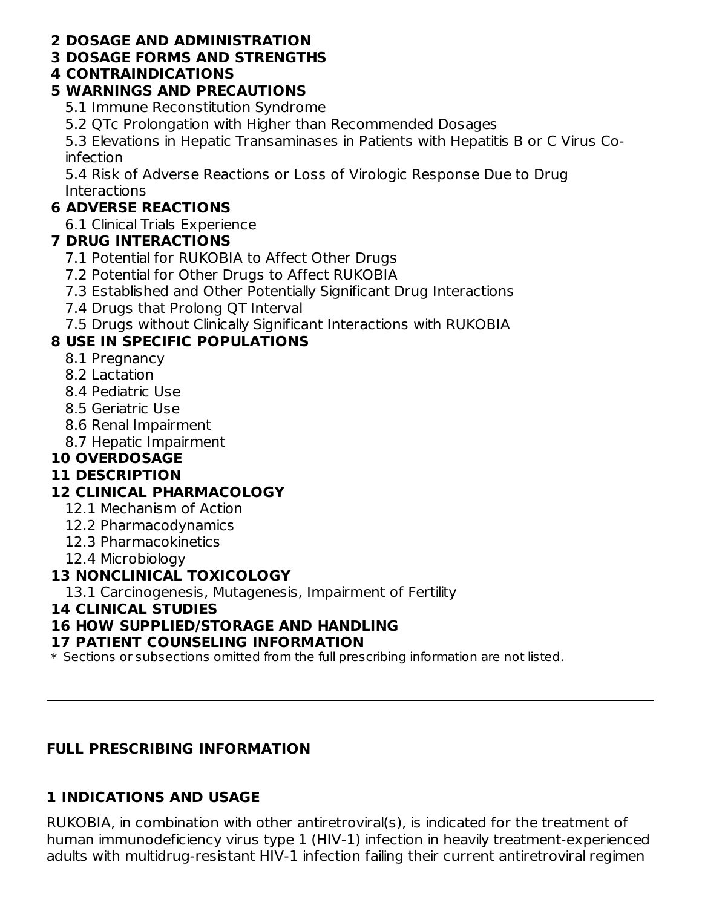#### **2 DOSAGE AND ADMINISTRATION**

#### **3 DOSAGE FORMS AND STRENGTHS**

#### **4 CONTRAINDICATIONS**

#### **5 WARNINGS AND PRECAUTIONS**

5.1 Immune Reconstitution Syndrome

5.2 QTc Prolongation with Higher than Recommended Dosages

5.3 Elevations in Hepatic Transaminases in Patients with Hepatitis B or C Virus Coinfection

5.4 Risk of Adverse Reactions or Loss of Virologic Response Due to Drug **Interactions** 

## **6 ADVERSE REACTIONS**

6.1 Clinical Trials Experience

## **7 DRUG INTERACTIONS**

- 7.1 Potential for RUKOBIA to Affect Other Drugs
- 7.2 Potential for Other Drugs to Affect RUKOBIA
- 7.3 Established and Other Potentially Significant Drug Interactions
- 7.4 Drugs that Prolong QT Interval
- 7.5 Drugs without Clinically Significant Interactions with RUKOBIA

## **8 USE IN SPECIFIC POPULATIONS**

- 8.1 Pregnancy
- 8.2 Lactation
- 8.4 Pediatric Use
- 8.5 Geriatric Use
- 8.6 Renal Impairment
- 8.7 Hepatic Impairment

## **10 OVERDOSAGE**

## **11 DESCRIPTION**

## **12 CLINICAL PHARMACOLOGY**

- 12.1 Mechanism of Action
- 12.2 Pharmacodynamics
- 12.3 Pharmacokinetics
- 12.4 Microbiology

## **13 NONCLINICAL TOXICOLOGY**

13.1 Carcinogenesis, Mutagenesis, Impairment of Fertility

#### **14 CLINICAL STUDIES**

## **16 HOW SUPPLIED/STORAGE AND HANDLING**

## **17 PATIENT COUNSELING INFORMATION**

\* Sections or subsections omitted from the full prescribing information are not listed.

## **FULL PRESCRIBING INFORMATION**

## **1 INDICATIONS AND USAGE**

RUKOBIA, in combination with other antiretroviral(s), is indicated for the treatment of human immunodeficiency virus type 1 (HIV-1) infection in heavily treatment-experienced adults with multidrug-resistant HIV-1 infection failing their current antiretroviral regimen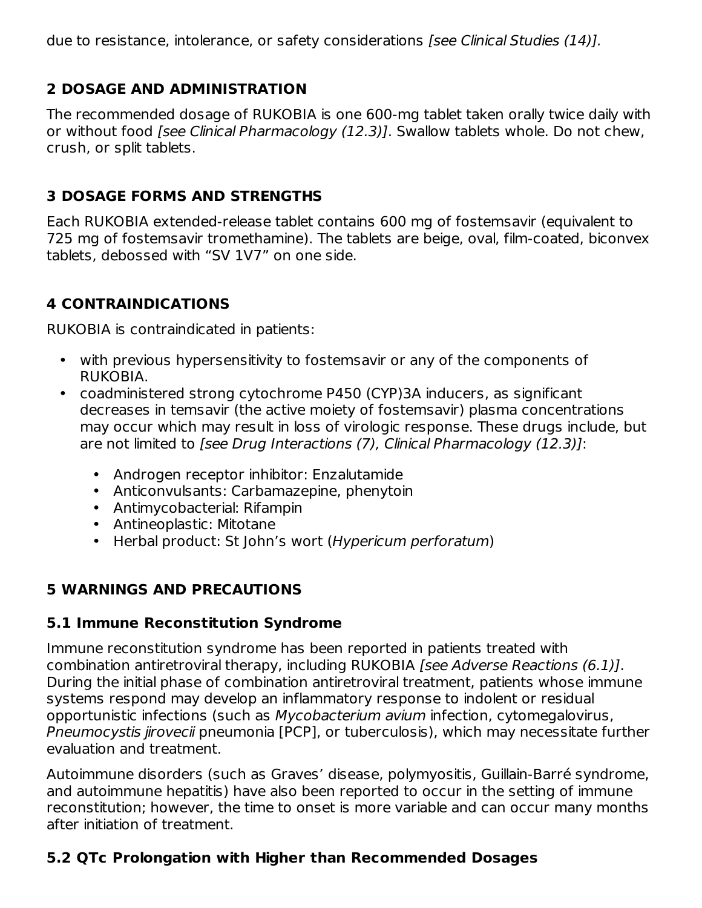due to resistance, intolerance, or safety considerations [see Clinical Studies (14)].

#### **2 DOSAGE AND ADMINISTRATION**

The recommended dosage of RUKOBIA is one 600-mg tablet taken orally twice daily with or without food [see Clinical Pharmacology (12.3)]. Swallow tablets whole. Do not chew, crush, or split tablets.

#### **3 DOSAGE FORMS AND STRENGTHS**

Each RUKOBIA extended-release tablet contains 600 mg of fostemsavir (equivalent to 725 mg of fostemsavir tromethamine). The tablets are beige, oval, film-coated, biconvex tablets, debossed with "SV 1V7" on one side.

#### **4 CONTRAINDICATIONS**

RUKOBIA is contraindicated in patients:

- with previous hypersensitivity to fostemsavir or any of the components of RUKOBIA.
- coadministered strong cytochrome P450 (CYP)3A inducers, as significant decreases in temsavir (the active moiety of fostemsavir) plasma concentrations may occur which may result in loss of virologic response. These drugs include, but are not limited to [see Drug Interactions (7), Clinical Pharmacology (12.3)]:
	- Androgen receptor inhibitor: Enzalutamide
	- Anticonvulsants: Carbamazepine, phenytoin
	- Antimycobacterial: Rifampin
	- Antineoplastic: Mitotane
	- Herbal product: St John's wort (Hypericum perforatum)

## **5 WARNINGS AND PRECAUTIONS**

#### **5.1 Immune Reconstitution Syndrome**

Immune reconstitution syndrome has been reported in patients treated with combination antiretroviral therapy, including RUKOBIA [see Adverse Reactions (6.1)]. During the initial phase of combination antiretroviral treatment, patients whose immune systems respond may develop an inflammatory response to indolent or residual opportunistic infections (such as Mycobacterium avium infection, cytomegalovirus, Pneumocystis jirovecii pneumonia [PCP], or tuberculosis), which may necessitate further evaluation and treatment.

Autoimmune disorders (such as Graves' disease, polymyositis, Guillain-Barré syndrome, and autoimmune hepatitis) have also been reported to occur in the setting of immune reconstitution; however, the time to onset is more variable and can occur many months after initiation of treatment.

## **5.2 QTc Prolongation with Higher than Recommended Dosages**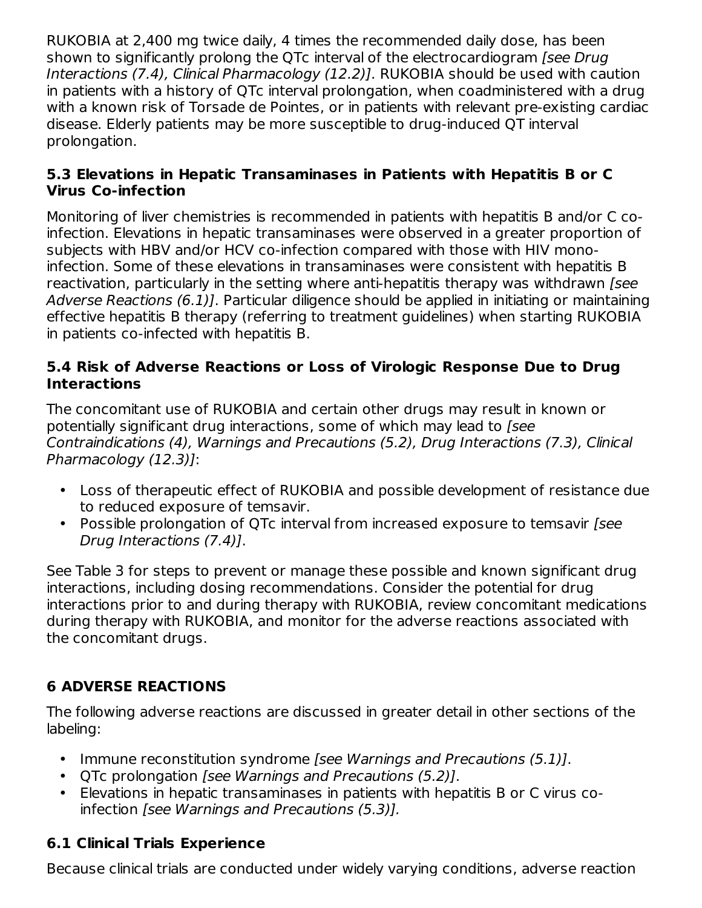RUKOBIA at 2,400 mg twice daily, 4 times the recommended daily dose, has been shown to significantly prolong the QTc interval of the electrocardiogram *[see Drug*] Interactions (7.4), Clinical Pharmacology (12.2)]. RUKOBIA should be used with caution in patients with a history of QTc interval prolongation, when coadministered with a drug with a known risk of Torsade de Pointes, or in patients with relevant pre-existing cardiac disease. Elderly patients may be more susceptible to drug-induced QT interval prolongation.

#### **5.3 Elevations in Hepatic Transaminases in Patients with Hepatitis B or C Virus Co-infection**

Monitoring of liver chemistries is recommended in patients with hepatitis B and/or C coinfection. Elevations in hepatic transaminases were observed in a greater proportion of subjects with HBV and/or HCV co-infection compared with those with HIV monoinfection. Some of these elevations in transaminases were consistent with hepatitis B reactivation, particularly in the setting where anti-hepatitis therapy was withdrawn [see Adverse Reactions (6.1)]. Particular diligence should be applied in initiating or maintaining effective hepatitis B therapy (referring to treatment guidelines) when starting RUKOBIA in patients co-infected with hepatitis B.

#### **5.4 Risk of Adverse Reactions or Loss of Virologic Response Due to Drug Interactions**

The concomitant use of RUKOBIA and certain other drugs may result in known or potentially significant drug interactions, some of which may lead to *[see*] Contraindications (4), Warnings and Precautions (5.2), Drug Interactions (7.3), Clinical Pharmacology (12.3)]:

- Loss of therapeutic effect of RUKOBIA and possible development of resistance due to reduced exposure of temsavir.
- Possible prolongation of QTc interval from increased exposure to temsavir [see Drug Interactions (7.4)].

See Table 3 for steps to prevent or manage these possible and known significant drug interactions, including dosing recommendations. Consider the potential for drug interactions prior to and during therapy with RUKOBIA, review concomitant medications during therapy with RUKOBIA, and monitor for the adverse reactions associated with the concomitant drugs.

## **6 ADVERSE REACTIONS**

The following adverse reactions are discussed in greater detail in other sections of the labeling:

- Immune reconstitution syndrome [see Warnings and Precautions (5.1)].
- QTc prolongation [see Warnings and Precautions (5.2)].
- Elevations in hepatic transaminases in patients with hepatitis B or C virus coinfection [see Warnings and Precautions (5.3)].

## **6.1 Clinical Trials Experience**

Because clinical trials are conducted under widely varying conditions, adverse reaction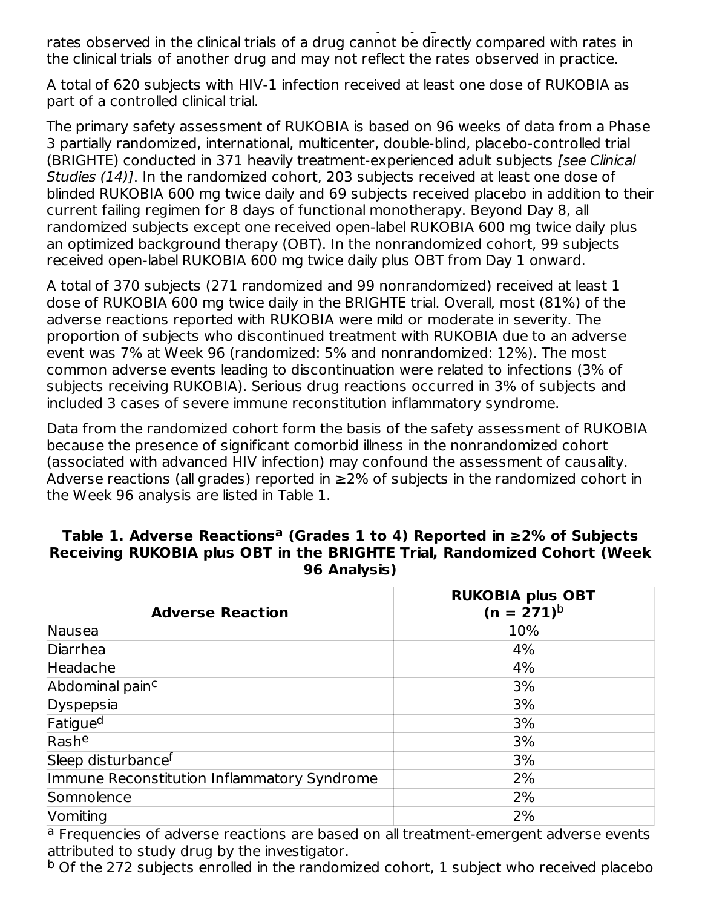$B_{\rm eff}$  trials are conducted under widely varying conditions, adverse reactions, adverse reactions, adverse reactions, adverse reactions, adverse reactions, adverse reactions, adverse reactions, adverse reactions, advers rates observed in the clinical trials of a drug cannot be directly compared with rates in the clinical trials of another drug and may not reflect the rates observed in practice.

A total of 620 subjects with HIV-1 infection received at least one dose of RUKOBIA as part of a controlled clinical trial.

The primary safety assessment of RUKOBIA is based on 96 weeks of data from a Phase 3 partially randomized, international, multicenter, double-blind, placebo-controlled trial (BRIGHTE) conducted in 371 heavily treatment-experienced adult subjects [see Clinical Studies (14)]. In the randomized cohort, 203 subjects received at least one dose of blinded RUKOBIA 600 mg twice daily and 69 subjects received placebo in addition to their current failing regimen for 8 days of functional monotherapy. Beyond Day 8, all randomized subjects except one received open-label RUKOBIA 600 mg twice daily plus an optimized background therapy (OBT). In the nonrandomized cohort, 99 subjects received open-label RUKOBIA 600 mg twice daily plus OBT from Day 1 onward.

A total of 370 subjects (271 randomized and 99 nonrandomized) received at least 1 dose of RUKOBIA 600 mg twice daily in the BRIGHTE trial. Overall, most (81%) of the adverse reactions reported with RUKOBIA were mild or moderate in severity. The proportion of subjects who discontinued treatment with RUKOBIA due to an adverse event was 7% at Week 96 (randomized: 5% and nonrandomized: 12%). The most common adverse events leading to discontinuation were related to infections (3% of subjects receiving RUKOBIA). Serious drug reactions occurred in 3% of subjects and included 3 cases of severe immune reconstitution inflammatory syndrome.

Data from the randomized cohort form the basis of the safety assessment of RUKOBIA because the presence of significant comorbid illness in the nonrandomized cohort (associated with advanced HIV infection) may confound the assessment of causality. Adverse reactions (all grades) reported in ≥2% of subjects in the randomized cohort in the Week 96 analysis are listed in Table 1.

#### **Table 1. Adverse Reactions (Grades 1 to 4) Reported in ≥2% of Subjects a Receiving RUKOBIA plus OBT in the BRIGHTE Trial, Randomized Cohort (Week 96 Analysis)**

| <b>Adverse Reaction</b>                     | <b>RUKOBIA plus OBT</b><br>$(n = 271)^{b}$ |
|---------------------------------------------|--------------------------------------------|
| Nausea                                      | 10%                                        |
| Diarrhea                                    | 4%                                         |
| Headache                                    | 4%                                         |
| Abdominal pain <sup>c</sup>                 | 3%                                         |
| Dyspepsia                                   | 3%                                         |
| Fatigue <sup>d</sup>                        | 3%                                         |
| Rashe                                       | 3%                                         |
| Sleep disturbance <sup>f</sup>              | 3%                                         |
| Immune Reconstitution Inflammatory Syndrome | 2%                                         |
| Somnolence                                  | 2%                                         |
| Vomiting                                    | 2%                                         |

<sup>a</sup> Frequencies of adverse reactions are based on all treatment-emergent adverse events attributed to study drug by the investigator.

<sup>b</sup> Of the 272 subjects enrolled in the randomized cohort, 1 subject who received placebo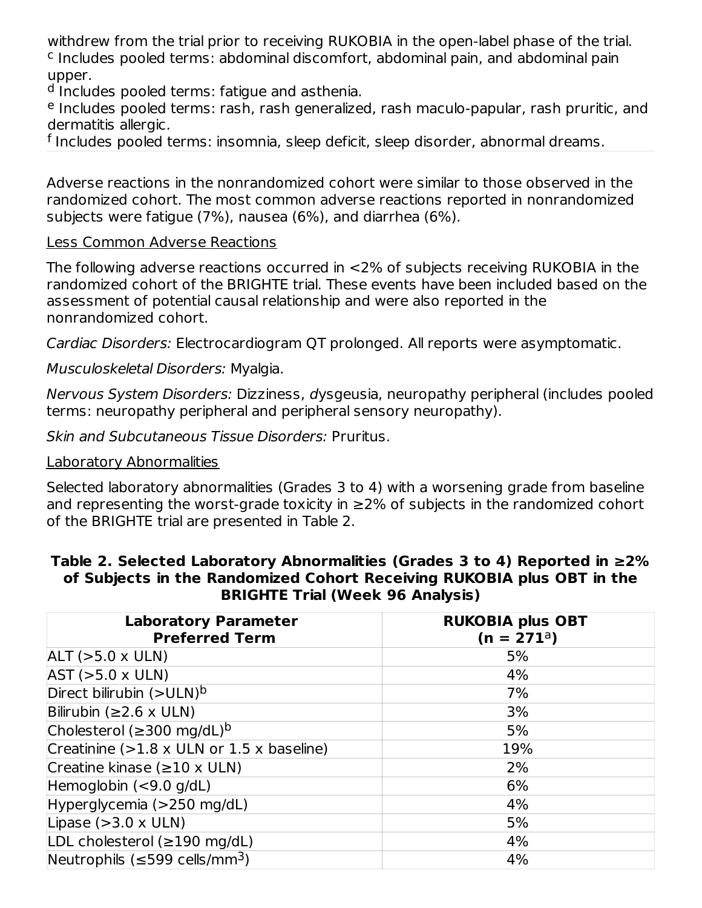withdrew from the trial prior to receiving RUKOBIA in the open-label phase of the trial. <sup>c</sup> Includes pooled terms: abdominal discomfort, abdominal pain, and abdominal pain upper.

<sup>d</sup> Includes pooled terms: fatigue and asthenia.

<sup>e</sup> Includes pooled terms: rash, rash generalized, rash maculo-papular, rash pruritic, and dermatitis allergic.

<sup>f</sup> Includes pooled terms: insomnia, sleep deficit, sleep disorder, abnormal dreams.

Adverse reactions in the nonrandomized cohort were similar to those observed in the randomized cohort. The most common adverse reactions reported in nonrandomized subjects were fatigue (7%), nausea (6%), and diarrhea (6%).

#### Less Common Adverse Reactions

The following adverse reactions occurred in <2% of subjects receiving RUKOBIA in the randomized cohort of the BRIGHTE trial. These events have been included based on the assessment of potential causal relationship and were also reported in the nonrandomized cohort.

Cardiac Disorders: Electrocardiogram QT prolonged. All reports were asymptomatic.

#### Musculoskeletal Disorders: Myalgia.

Nervous System Disorders: Dizziness, dysgeusia, neuropathy peripheral (includes pooled terms: neuropathy peripheral and peripheral sensory neuropathy).

Skin and Subcutaneous Tissue Disorders: Pruritus.

#### Laboratory Abnormalities

Selected laboratory abnormalities (Grades 3 to 4) with a worsening grade from baseline and representing the worst-grade toxicity in  $\geq$ 2% of subjects in the randomized cohort of the BRIGHTE trial are presented in Table 2.

#### **Table 2. Selected Laboratory Abnormalities (Grades 3 to 4) Reported in ≥2% of Subjects in the Randomized Cohort Receiving RUKOBIA plus OBT in the BRIGHTE Trial (Week 96 Analysis)**

| <b>Laboratory Parameter</b><br><b>Preferred Term</b> | <b>RUKOBIA plus OBT</b><br>$(n = 271a)$ |
|------------------------------------------------------|-----------------------------------------|
| $ALT (>5.0 \times ULN)$                              | 5%                                      |
| AST (>5.0 x ULN)                                     | 4%                                      |
| Direct bilirubin $(>ULN)^b$                          | 7%                                      |
| Bilirubin ( $\geq$ 2.6 x ULN)                        | 3%                                      |
| Cholesterol ( $\geq$ 300 mg/dL) <sup>b</sup>         | 5%                                      |
| Creatinine $(>1.8 \times$ ULN or 1.5 x baseline)     | 19%                                     |
| Creatine kinase $(\geq 10 \times ULN)$               | 2%                                      |
| Hemoglobin $(< 9.0$ g/dL)                            | 6%                                      |
| Hyperglycemia (>250 mg/dL)                           | 4%                                      |
| Lipase $(>3.0 \times ULN)$                           | 5%                                      |
| LDL cholesterol (≥190 mg/dL)                         | 4%                                      |
| Neutrophils ( $\leq$ 599 cells/mm <sup>3</sup> )     | 4%                                      |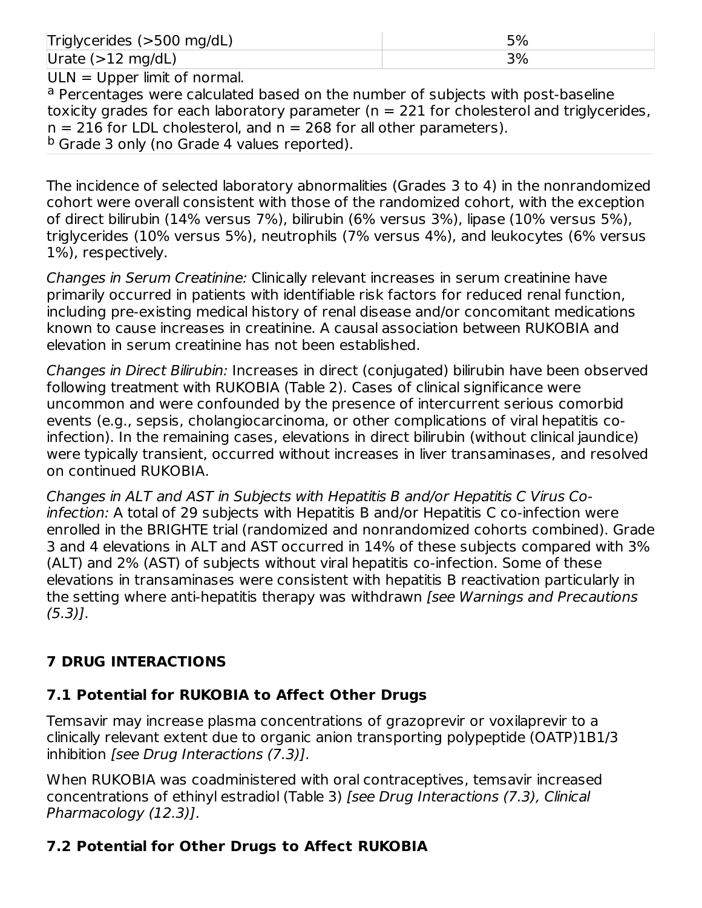| Triglycerides (>500 mg/dL)     | 5% |
|--------------------------------|----|
| Urate $(>12 \text{ mg/dL})$    | 3% |
| $ULN = Upper$ limit of normal. |    |

<sup>a</sup> Percentages were calculated based on the number of subjects with post-baseline toxicity grades for each laboratory parameter ( $n = 221$  for cholesterol and triglycerides,  $n = 216$  for LDL cholesterol, and  $n = 268$  for all other parameters). <sup>b</sup> Grade 3 only (no Grade 4 values reported).

The incidence of selected laboratory abnormalities (Grades 3 to 4) in the nonrandomized cohort were overall consistent with those of the randomized cohort, with the exception of direct bilirubin (14% versus 7%), bilirubin (6% versus 3%), lipase (10% versus 5%), triglycerides (10% versus 5%), neutrophils (7% versus 4%), and leukocytes (6% versus 1%), respectively.

Changes in Serum Creatinine: Clinically relevant increases in serum creatinine have primarily occurred in patients with identifiable risk factors for reduced renal function, including pre-existing medical history of renal disease and/or concomitant medications known to cause increases in creatinine. A causal association between RUKOBIA and elevation in serum creatinine has not been established.

Changes in Direct Bilirubin: Increases in direct (conjugated) bilirubin have been observed following treatment with RUKOBIA (Table 2). Cases of clinical significance were uncommon and were confounded by the presence of intercurrent serious comorbid events (e.g., sepsis, cholangiocarcinoma, or other complications of viral hepatitis coinfection). In the remaining cases, elevations in direct bilirubin (without clinical jaundice) were typically transient, occurred without increases in liver transaminases, and resolved on continued RUKOBIA.

Changes in ALT and AST in Subjects with Hepatitis B and/or Hepatitis C Virus Coinfection: A total of 29 subjects with Hepatitis B and/or Hepatitis C co-infection were enrolled in the BRIGHTE trial (randomized and nonrandomized cohorts combined). Grade 3 and 4 elevations in ALT and AST occurred in 14% of these subjects compared with 3% (ALT) and 2% (AST) of subjects without viral hepatitis co-infection. Some of these elevations in transaminases were consistent with hepatitis B reactivation particularly in the setting where anti-hepatitis therapy was withdrawn *[see Warnings and Precautions*  $(5.3)$ ].

## **7 DRUG INTERACTIONS**

## **7.1 Potential for RUKOBIA to Affect Other Drugs**

Temsavir may increase plasma concentrations of grazoprevir or voxilaprevir to a clinically relevant extent due to organic anion transporting polypeptide (OATP)1B1/3 inhibition [see Drug Interactions (7.3)].

When RUKOBIA was coadministered with oral contraceptives, temsavir increased concentrations of ethinyl estradiol (Table 3) [see Drug Interactions (7.3), Clinical Pharmacology (12.3)].

## **7.2 Potential for Other Drugs to Affect RUKOBIA**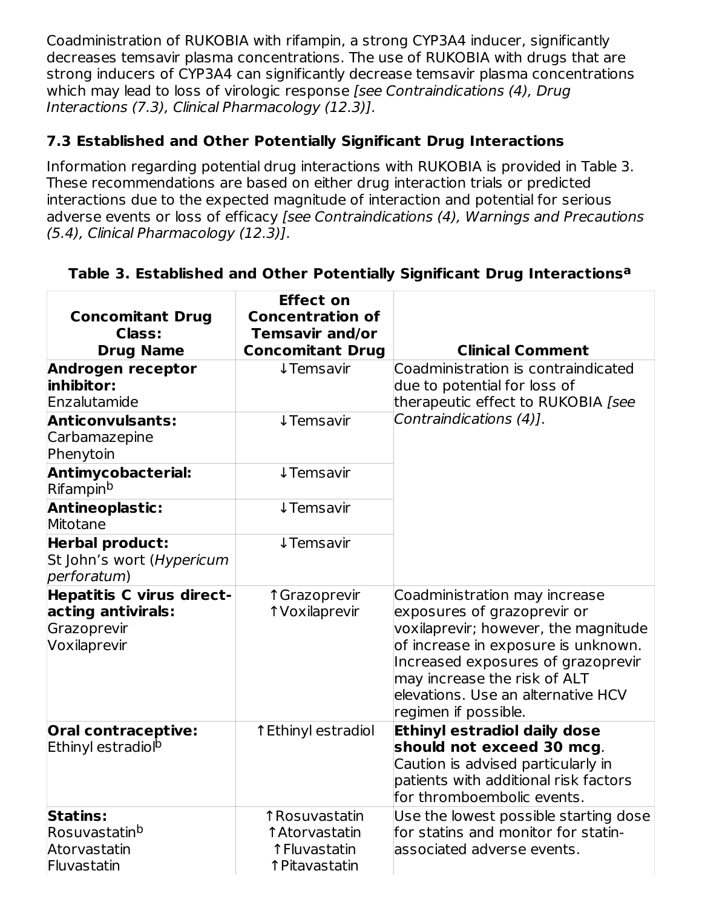Coadministration of RUKOBIA with rifampin, a strong CYP3A4 inducer, significantly decreases temsavir plasma concentrations. The use of RUKOBIA with drugs that are strong inducers of CYP3A4 can significantly decrease temsavir plasma concentrations which may lead to loss of virologic response [see Contraindications (4), Drug Interactions (7.3), Clinical Pharmacology (12.3)].

## **7.3 Established and Other Potentially Significant Drug Interactions**

Information regarding potential drug interactions with RUKOBIA is provided in Table 3. These recommendations are based on either drug interaction trials or predicted interactions due to the expected magnitude of interaction and potential for serious adverse events or loss of efficacy [see Contraindications (4), Warnings and Precautions (5.4), Clinical Pharmacology (12.3)].

| <b>Concomitant Drug</b><br><b>Class:</b><br><b>Drug Name</b>                   | <b>Effect on</b><br><b>Concentration of</b><br><b>Temsavir and/or</b><br><b>Concomitant Drug</b> | <b>Clinical Comment</b>                                                                                                                                                                                                                                                         |
|--------------------------------------------------------------------------------|--------------------------------------------------------------------------------------------------|---------------------------------------------------------------------------------------------------------------------------------------------------------------------------------------------------------------------------------------------------------------------------------|
| Androgen receptor<br>inhibitor:<br>Enzalutamide                                | ↓ Temsavir                                                                                       | Coadministration is contraindicated<br>due to potential for loss of<br>therapeutic effect to RUKOBIA [see                                                                                                                                                                       |
| <b>Anticonvulsants:</b><br>Carbamazepine<br>Phenytoin                          | <b>↓Temsavir</b>                                                                                 | Contraindications (4)1.                                                                                                                                                                                                                                                         |
| <b>Antimycobacterial:</b><br>Rifampin <sup>b</sup>                             | <b>↓Temsavir</b>                                                                                 |                                                                                                                                                                                                                                                                                 |
| Antineoplastic:<br>Mitotane                                                    | <b>↓Temsavir</b>                                                                                 |                                                                                                                                                                                                                                                                                 |
| <b>Herbal product:</b><br>St John's wort (Hypericum<br>perforatum)             | ↓ Temsavir                                                                                       |                                                                                                                                                                                                                                                                                 |
| Hepatitis C virus direct-<br>acting antivirals:<br>Grazoprevir<br>Voxilaprevir | ↑ Grazoprevir<br>1 Voxilaprevir                                                                  | Coadministration may increase<br>exposures of grazoprevir or<br>voxilaprevir; however, the magnitude<br>of increase in exposure is unknown.<br>Increased exposures of grazoprevir<br>may increase the risk of ALT<br>elevations. Use an alternative HCV<br>regimen if possible. |
| <b>Oral contraceptive:</b><br>Ethinyl estradiol <sup>p</sup>                   | ↑ Ethinyl estradiol                                                                              | <b>Ethinyl estradiol daily dose</b><br>should not exceed 30 mcg.<br>Caution is advised particularly in<br>patients with additional risk factors<br>for thromboembolic events.                                                                                                   |
| <b>Statins:</b><br>Rosuvastatin <sup>b</sup><br>Atorvastatin<br>Fluvastatin    | ↑ Rosuvastatin<br>1 Atorvastatin<br>↑ Fluvastatin<br>↑ Pitavastatin                              | Use the lowest possible starting dose<br>for statins and monitor for statin-<br>associated adverse events.                                                                                                                                                                      |

## **Table 3. Established and Other Potentially Significant Drug Interactions a**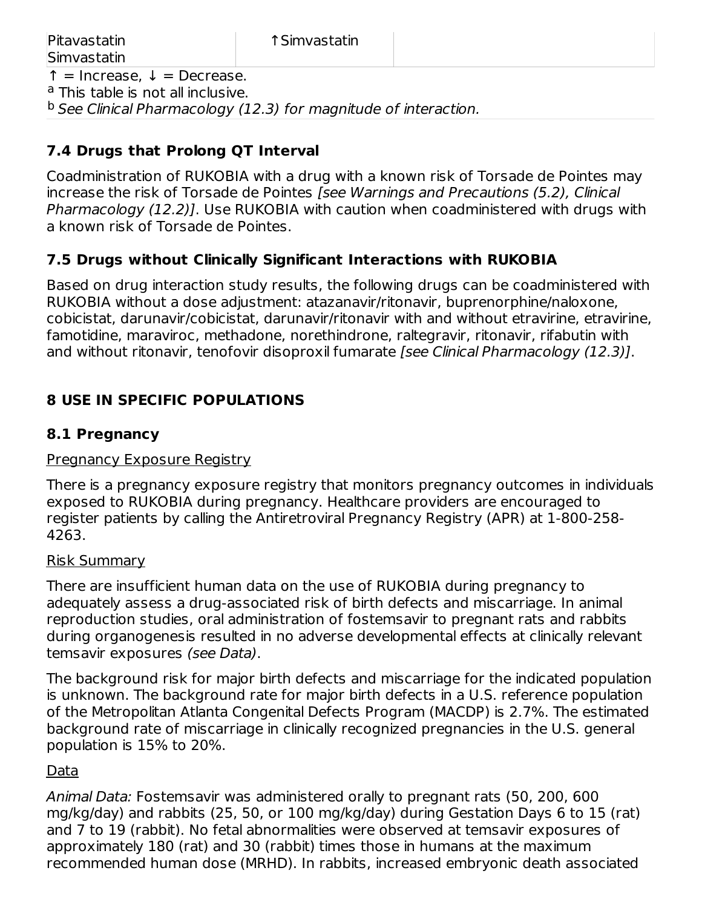$^{\rm b}$  See Clinical Pharmacology (12.3) for magnitude of interaction.

#### **7.4 Drugs that Prolong QT Interval**

Coadministration of RUKOBIA with a drug with a known risk of Torsade de Pointes may increase the risk of Torsade de Pointes [see Warnings and Precautions (5.2), Clinical Pharmacology (12.2)]. Use RUKOBIA with caution when coadministered with drugs with a known risk of Torsade de Pointes.

#### **7.5 Drugs without Clinically Significant Interactions with RUKOBIA**

Based on drug interaction study results, the following drugs can be coadministered with RUKOBIA without a dose adjustment: atazanavir/ritonavir, buprenorphine/naloxone, cobicistat, darunavir/cobicistat, darunavir/ritonavir with and without etravirine, etravirine, famotidine, maraviroc, methadone, norethindrone, raltegravir, ritonavir, rifabutin with and without ritonavir, tenofovir disoproxil fumarate [see Clinical Pharmacology (12.3)].

#### **8 USE IN SPECIFIC POPULATIONS**

#### **8.1 Pregnancy**

#### Pregnancy Exposure Registry

There is a pregnancy exposure registry that monitors pregnancy outcomes in individuals exposed to RUKOBIA during pregnancy. Healthcare providers are encouraged to register patients by calling the Antiretroviral Pregnancy Registry (APR) at 1-800-258- 4263.

#### Risk Summary

There are insufficient human data on the use of RUKOBIA during pregnancy to adequately assess a drug-associated risk of birth defects and miscarriage. In animal reproduction studies, oral administration of fostemsavir to pregnant rats and rabbits during organogenesis resulted in no adverse developmental effects at clinically relevant temsavir exposures (see Data).

The background risk for major birth defects and miscarriage for the indicated population is unknown. The background rate for major birth defects in a U.S. reference population of the Metropolitan Atlanta Congenital Defects Program (MACDP) is 2.7%. The estimated background rate of miscarriage in clinically recognized pregnancies in the U.S. general population is 15% to 20%.

#### Data

Animal Data: Fostemsavir was administered orally to pregnant rats (50, 200, 600 mg/kg/day) and rabbits (25, 50, or 100 mg/kg/day) during Gestation Days 6 to 15 (rat) and 7 to 19 (rabbit). No fetal abnormalities were observed at temsavir exposures of approximately 180 (rat) and 30 (rabbit) times those in humans at the maximum recommended human dose (MRHD). In rabbits, increased embryonic death associated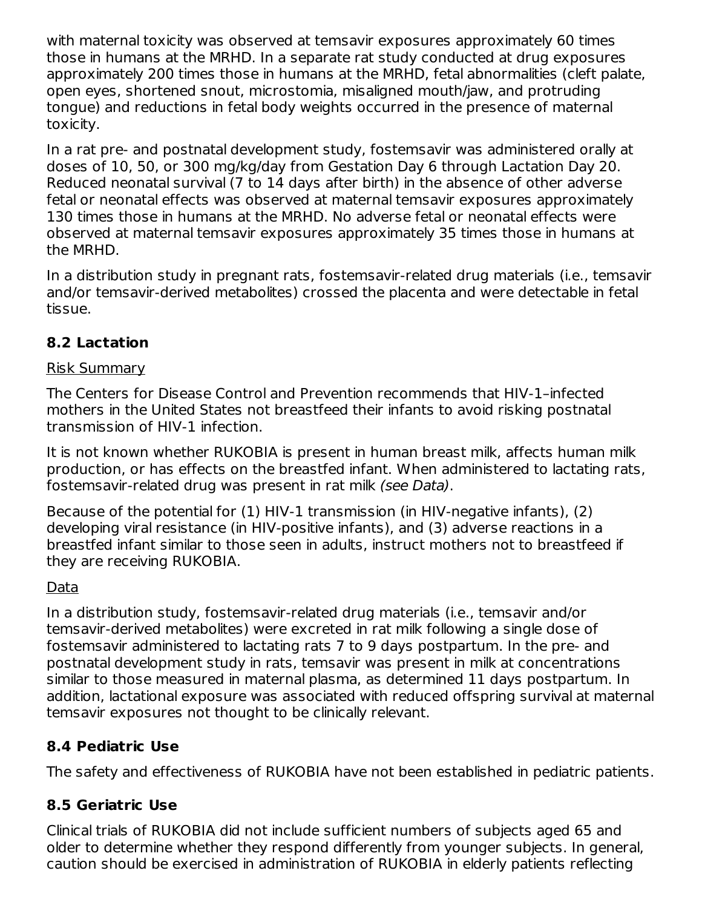with maternal toxicity was observed at temsavir exposures approximately 60 times those in humans at the MRHD. In a separate rat study conducted at drug exposures approximately 200 times those in humans at the MRHD, fetal abnormalities (cleft palate, open eyes, shortened snout, microstomia, misaligned mouth/jaw, and protruding tongue) and reductions in fetal body weights occurred in the presence of maternal toxicity.

In a rat pre- and postnatal development study, fostemsavir was administered orally at doses of 10, 50, or 300 mg/kg/day from Gestation Day 6 through Lactation Day 20. Reduced neonatal survival (7 to 14 days after birth) in the absence of other adverse fetal or neonatal effects was observed at maternal temsavir exposures approximately 130 times those in humans at the MRHD. No adverse fetal or neonatal effects were observed at maternal temsavir exposures approximately 35 times those in humans at the MRHD.

In a distribution study in pregnant rats, fostemsavir-related drug materials (i.e., temsavir and/or temsavir-derived metabolites) crossed the placenta and were detectable in fetal tissue.

## **8.2 Lactation**

## Risk Summary

The Centers for Disease Control and Prevention recommends that HIV‑1–infected mothers in the United States not breastfeed their infants to avoid risking postnatal transmission of HIV-1 infection.

It is not known whether RUKOBIA is present in human breast milk, affects human milk production, or has effects on the breastfed infant. When administered to lactating rats, fostemsavir-related drug was present in rat milk (see Data).

Because of the potential for (1) HIV-1 transmission (in HIV-negative infants), (2) developing viral resistance (in HIV-positive infants), and (3) adverse reactions in a breastfed infant similar to those seen in adults, instruct mothers not to breastfeed if they are receiving RUKOBIA.

## Data

In a distribution study, fostemsavir-related drug materials (i.e., temsavir and/or temsavir-derived metabolites) were excreted in rat milk following a single dose of fostemsavir administered to lactating rats 7 to 9 days postpartum. In the pre- and postnatal development study in rats, temsavir was present in milk at concentrations similar to those measured in maternal plasma, as determined 11 days postpartum. In addition, lactational exposure was associated with reduced offspring survival at maternal temsavir exposures not thought to be clinically relevant.

## **8.4 Pediatric Use**

The safety and effectiveness of RUKOBIA have not been established in pediatric patients.

## **8.5 Geriatric Use**

Clinical trials of RUKOBIA did not include sufficient numbers of subjects aged 65 and older to determine whether they respond differently from younger subjects. In general, caution should be exercised in administration of RUKOBIA in elderly patients reflecting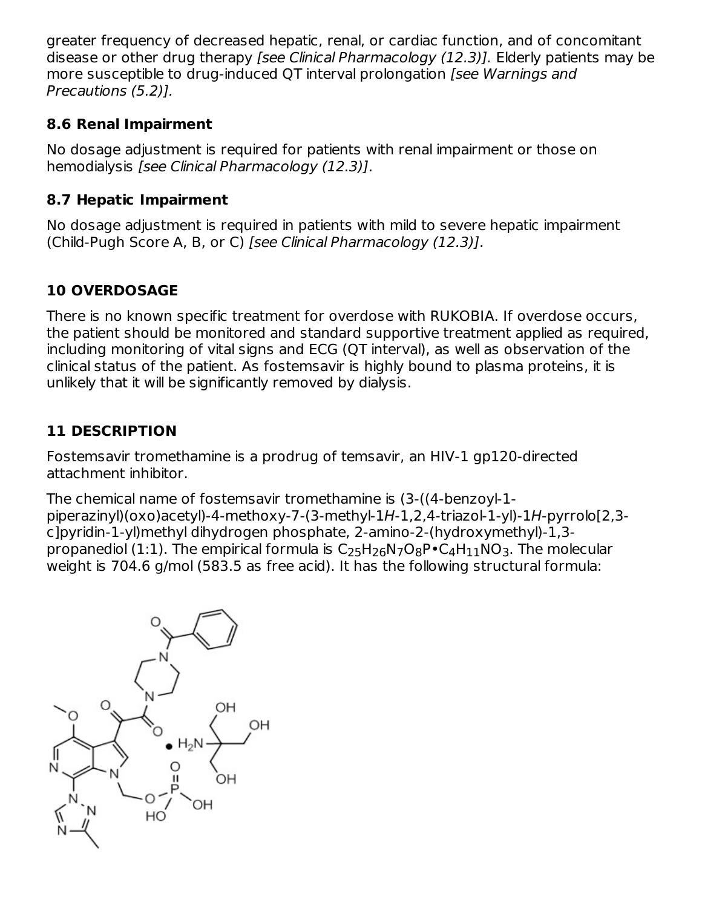greater frequency of decreased hepatic, renal, or cardiac function, and of concomitant disease or other drug therapy *[see Clinical Pharmacology (12.3)]*. Elderly patients may be more susceptible to drug-induced QT interval prolongation [see Warnings and Precautions (5.2)].

## **8.6 Renal Impairment**

No dosage adjustment is required for patients with renal impairment or those on hemodialysis [see Clinical Pharmacology (12.3)].

#### **8.7 Hepatic Impairment**

No dosage adjustment is required in patients with mild to severe hepatic impairment (Child-Pugh Score A, B, or C) [see Clinical Pharmacology (12.3)].

## **10 OVERDOSAGE**

There is no known specific treatment for overdose with RUKOBIA. If overdose occurs, the patient should be monitored and standard supportive treatment applied as required, including monitoring of vital signs and ECG (QT interval), as well as observation of the clinical status of the patient. As fostemsavir is highly bound to plasma proteins, it is unlikely that it will be significantly removed by dialysis.

## **11 DESCRIPTION**

Fostemsavir tromethamine is a prodrug of temsavir, an HIV-1 gp120-directed attachment inhibitor.

The chemical name of fostemsavir tromethamine is (3-((4-benzoyl-1 piperazinyl)(oxo)acetyl)-4-methoxy-7-(3-methyl-1H-1,2,4-triazol-1-yl)-1H-pyrrolo[2,3 c]pyridin-1-yl)methyl dihydrogen phosphate, 2-amino-2-(hydroxymethyl)-1,3 propanediol (1:1). The empirical formula is  $\mathsf{C}_2$ 5H $_{26}$ N7O $_{8}$ P $\bullet$ C $_{4}$ H $_{11}$ NO $_{3}$ . The molecular weight is 704.6 g/mol (583.5 as free acid). It has the following structural formula:

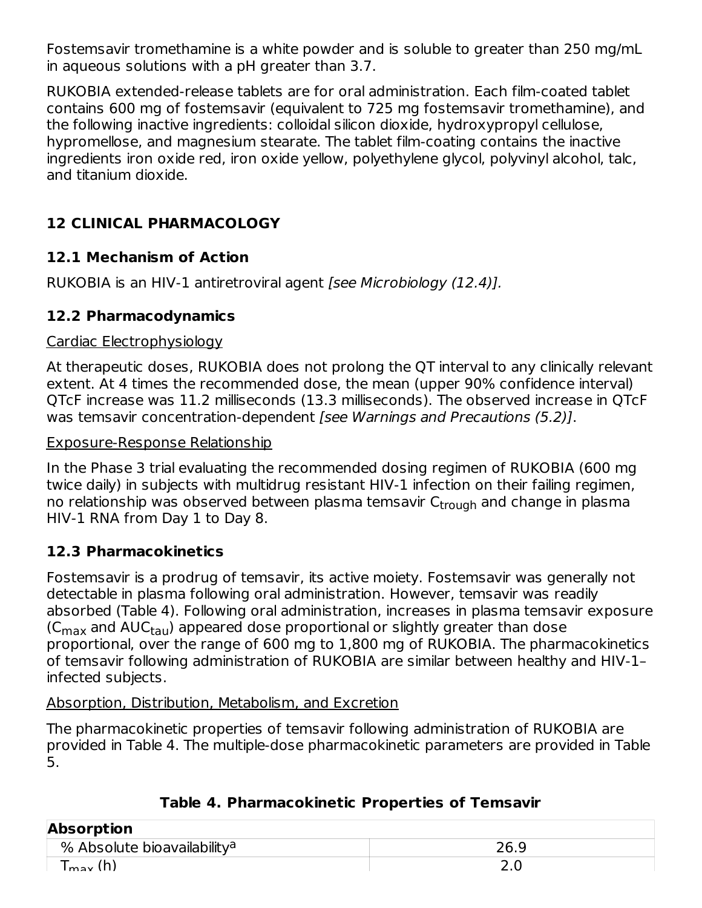Fostemsavir tromethamine is a white powder and is soluble to greater than 250 mg/mL in aqueous solutions with a pH greater than 3.7.

RUKOBIA extended-release tablets are for oral administration. Each film-coated tablet contains 600 mg of fostemsavir (equivalent to 725 mg fostemsavir tromethamine), and the following inactive ingredients: colloidal silicon dioxide, hydroxypropyl cellulose, hypromellose, and magnesium stearate. The tablet film-coating contains the inactive ingredients iron oxide red, iron oxide yellow, polyethylene glycol, polyvinyl alcohol, talc, and titanium dioxide.

## **12 CLINICAL PHARMACOLOGY**

## **12.1 Mechanism of Action**

RUKOBIA is an HIV-1 antiretroviral agent [see Microbiology (12.4)].

## **12.2 Pharmacodynamics**

## Cardiac Electrophysiology

At therapeutic doses, RUKOBIA does not prolong the QT interval to any clinically relevant extent. At 4 times the recommended dose, the mean (upper 90% confidence interval) QTcF increase was 11.2 milliseconds (13.3 milliseconds). The observed increase in QTcF was temsavir concentration-dependent [see Warnings and Precautions (5.2)].

## Exposure-Response Relationship

In the Phase 3 trial evaluating the recommended dosing regimen of RUKOBIA (600 mg twice daily) in subjects with multidrug resistant HIV-1 infection on their failing regimen, no relationship was observed between plasma temsavir C<sub>trough</sub> and change in plasma HIV-1 RNA from Day 1 to Day 8.

## **12.3 Pharmacokinetics**

Fostemsavir is a prodrug of temsavir, its active moiety. Fostemsavir was generally not detectable in plasma following oral administration. However, temsavir was readily absorbed (Table 4). Following oral administration, increases in plasma temsavir exposure (C $_{\sf max}$  and AUC $_{\sf tau}$ ) appeared dose proportional or slightly greater than dose proportional, over the range of 600 mg to 1,800 mg of RUKOBIA. The pharmacokinetics of temsavir following administration of RUKOBIA are similar between healthy and HIV‑1– infected subjects.

## Absorption, Distribution, Metabolism, and Excretion

The pharmacokinetic properties of temsavir following administration of RUKOBIA are provided in Table 4. The multiple-dose pharmacokinetic parameters are provided in Table 5.

| <b>Absorption</b>                       |        |  |  |  |  |
|-----------------------------------------|--------|--|--|--|--|
| % Absolute bioavailability <sup>a</sup> | 26.9   |  |  |  |  |
| $\Gamma_{\text{max}}$ (h)               | $\sim$ |  |  |  |  |

## **Table 4. Pharmacokinetic Properties of Temsavir**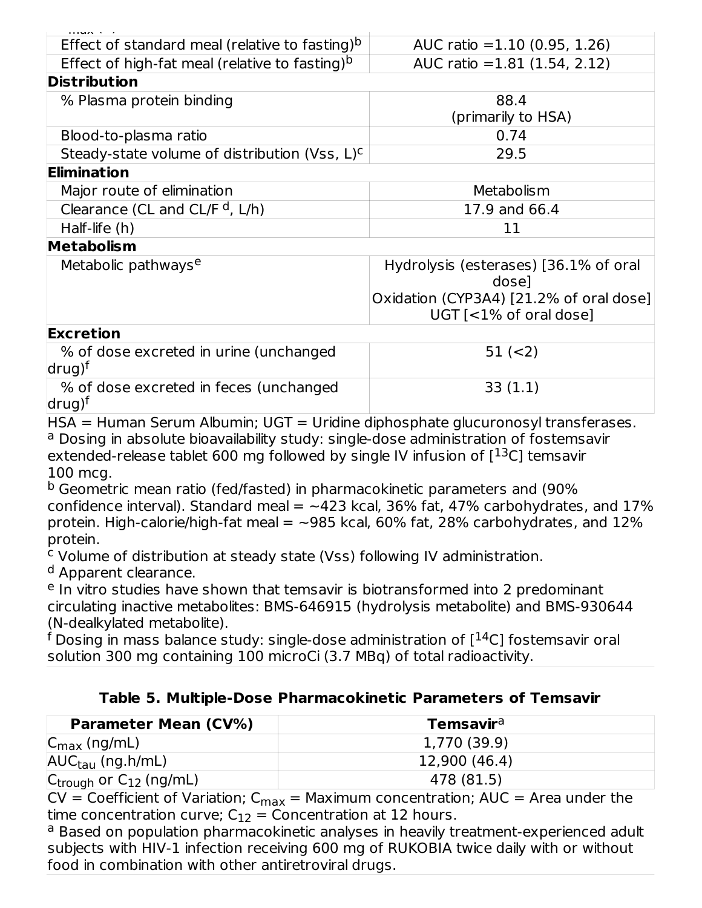| Effect of standard meal (relative to fasting) <sup>b</sup>   | AUC ratio = $1.10$ (0.95, 1.26)                                     |
|--------------------------------------------------------------|---------------------------------------------------------------------|
| Effect of high-fat meal (relative to fasting) <sup>b</sup>   | AUC ratio = $1.81$ (1.54, 2.12)                                     |
| <b>Distribution</b>                                          |                                                                     |
| % Plasma protein binding                                     | 88.4                                                                |
|                                                              | (primarily to HSA)                                                  |
| Blood-to-plasma ratio                                        | 0.74                                                                |
| Steady-state volume of distribution (Vss, L) <sup>c</sup>    | 29.5                                                                |
| <b>Elimination</b>                                           |                                                                     |
| Major route of elimination                                   | Metabolism                                                          |
| Clearance (CL and CL/F $d$ , L/h)                            | 17.9 and 66.4                                                       |
| Half-life (h)                                                | 11                                                                  |
| <b>Metabolism</b>                                            |                                                                     |
| Metabolic pathways <sup>e</sup>                              | Hydrolysis (esterases) [36.1% of oral<br>dosel                      |
|                                                              | Oxidation (CYP3A4) [21.2% of oral dose]<br>$UGT$ [<1% of oral dose] |
| <b>Excretion</b>                                             |                                                                     |
| % of dose excreted in urine (unchanged<br>drug) <sup>t</sup> | $51 (=2)$                                                           |
| % of dose excreted in feces (unchanged<br>drug) <sup>t</sup> | 33(1.1)                                                             |

HSA = Human Serum Albumin; UGT = Uridine diphosphate glucuronosyl transferases. <sup>a</sup> Dosing in absolute bioavailability study: single-dose administration of fostemsavir extended-release tablet 600 mg followed by single IV infusion of  $[^{13}C]$  temsavir 100 mcg.

<sup>b</sup> Geometric mean ratio (fed/fasted) in pharmacokinetic parameters and (90% confidence interval). Standard meal  $=$   $-423$  kcal, 36% fat, 47% carbohydrates, and 17% protein. High-calorie/high-fat meal  $=$  ~985 kcal, 60% fat, 28% carbohydrates, and 12% protein.

<sup>c</sup> Volume of distribution at steady state (Vss) following IV administration.

<sup>d</sup> Apparent clearance.

<sup>e</sup> In vitro studies have shown that temsavir is biotransformed into 2 predominant circulating inactive metabolites: BMS-646915 (hydrolysis metabolite) and BMS-930644 (N-dealkylated metabolite).

 $^{\mathsf{f}}$  Dosing in mass balance study: single-dose administration of [ $^{14}$ C] fostemsavir oral solution 300 mg containing 100 microCi (3.7 MBq) of total radioactivity.

## **Table 5. Multiple-Dose Pharmacokinetic Parameters of Temsavir**

| <b>Parameter Mean (CV%)</b>             | <b>Temsavir</b> <sup>a</sup> |
|-----------------------------------------|------------------------------|
| $ C_{\text{max}}(ng/mL) $               | 1,770 (39.9)                 |
| $\vert$ AUC $_{\text{tau}}$ (ng.h/mL)   | 12,900 (46.4)                |
| $C_{\text{trough}}$ or $C_{12}$ (ng/mL) | 478 (81.5)                   |

 $CV = Coefficient$  of Variation;  $C_{max} =$  Maximum concentration;  $AUC =$  Area under the time concentration curve;  $C_{12}$  = Concentration at 12 hours.

<sup>a</sup> Based on population pharmacokinetic analyses in heavily treatment-experienced adult subjects with HIV-1 infection receiving 600 mg of RUKOBIA twice daily with or without food in combination with other antiretroviral drugs.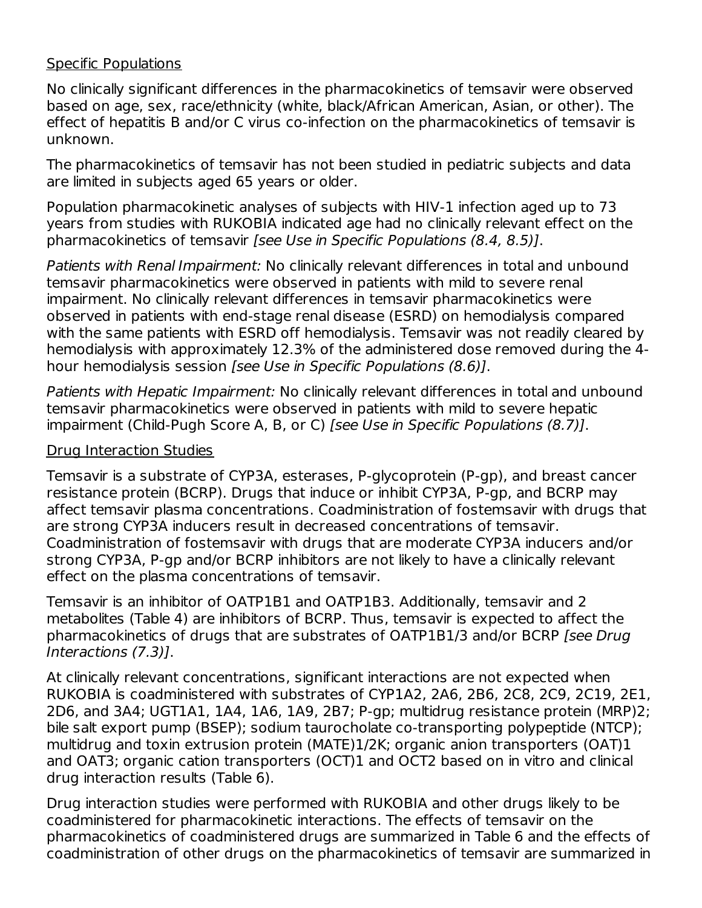#### Specific Populations

No clinically significant differences in the pharmacokinetics of temsavir were observed based on age, sex, race/ethnicity (white, black/African American, Asian, or other). The effect of hepatitis B and/or C virus co-infection on the pharmacokinetics of temsavir is unknown.

The pharmacokinetics of temsavir has not been studied in pediatric subjects and data are limited in subjects aged 65 years or older.

Population pharmacokinetic analyses of subjects with HIV-1 infection aged up to 73 years from studies with RUKOBIA indicated age had no clinically relevant effect on the pharmacokinetics of temsavir [see Use in Specific Populations (8.4, 8.5)].

Patients with Renal Impairment: No clinically relevant differences in total and unbound temsavir pharmacokinetics were observed in patients with mild to severe renal impairment. No clinically relevant differences in temsavir pharmacokinetics were observed in patients with end-stage renal disease (ESRD) on hemodialysis compared with the same patients with ESRD off hemodialysis. Temsavir was not readily cleared by hemodialysis with approximately 12.3% of the administered dose removed during the 4 hour hemodialysis session [see Use in Specific Populations (8.6)].

Patients with Hepatic Impairment: No clinically relevant differences in total and unbound temsavir pharmacokinetics were observed in patients with mild to severe hepatic impairment (Child-Pugh Score A, B, or C) [see Use in Specific Populations (8.7)].

#### Drug Interaction Studies

Temsavir is a substrate of CYP3A, esterases, P-glycoprotein (P-gp), and breast cancer resistance protein (BCRP). Drugs that induce or inhibit CYP3A, P-gp, and BCRP may affect temsavir plasma concentrations. Coadministration of fostemsavir with drugs that are strong CYP3A inducers result in decreased concentrations of temsavir. Coadministration of fostemsavir with drugs that are moderate CYP3A inducers and/or strong CYP3A, P-gp and/or BCRP inhibitors are not likely to have a clinically relevant effect on the plasma concentrations of temsavir.

Temsavir is an inhibitor of OATP1B1 and OATP1B3. Additionally, temsavir and 2 metabolites (Table 4) are inhibitors of BCRP. Thus, temsavir is expected to affect the pharmacokinetics of drugs that are substrates of OATP1B1/3 and/or BCRP [see Drug Interactions (7.3)].

At clinically relevant concentrations, significant interactions are not expected when RUKOBIA is coadministered with substrates of CYP1A2, 2A6, 2B6, 2C8, 2C9, 2C19, 2E1, 2D6, and 3A4; UGT1A1, 1A4, 1A6, 1A9, 2B7; P-gp; multidrug resistance protein (MRP)2; bile salt export pump (BSEP); sodium taurocholate co-transporting polypeptide (NTCP); multidrug and toxin extrusion protein (MATE)1/2K; organic anion transporters (OAT)1 and OAT3; organic cation transporters (OCT)1 and OCT2 based on in vitro and clinical drug interaction results (Table 6).

Drug interaction studies were performed with RUKOBIA and other drugs likely to be coadministered for pharmacokinetic interactions. The effects of temsavir on the pharmacokinetics of coadministered drugs are summarized in Table 6 and the effects of coadministration of other drugs on the pharmacokinetics of temsavir are summarized in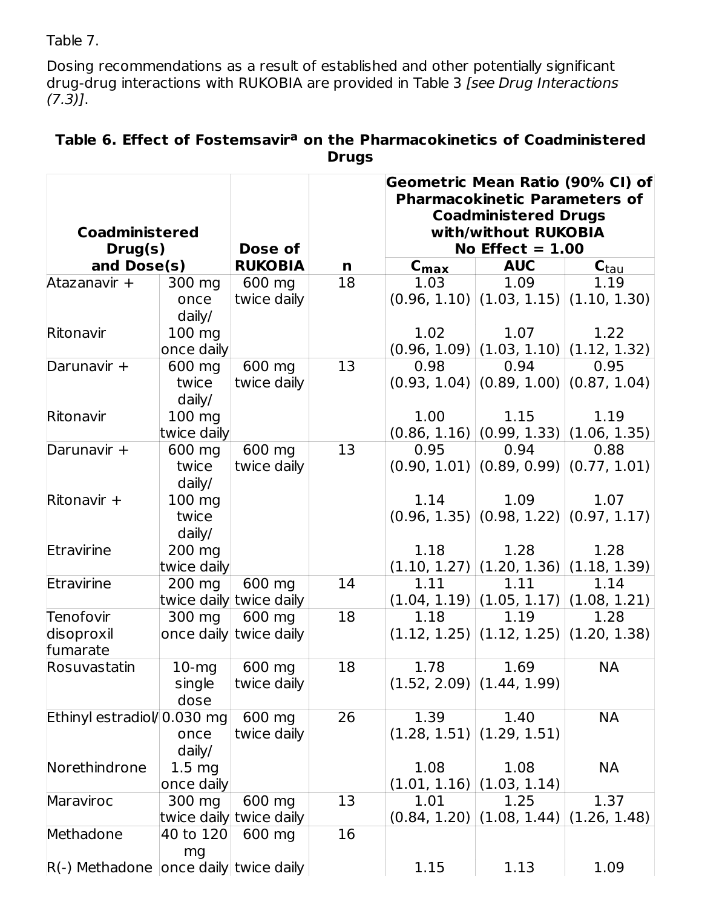Table 7.

Dosing recommendations as a result of established and other potentially significant drug-drug interactions with RUKOBIA are provided in Table 3 [see Drug Interactions  $(7.3)$ ].

| <b>Coadministered</b><br>Drug(s)        |                                 | Dose of                 |                 | Geometric Mean Ratio (90% CI) of<br><b>Pharmacokinetic Parameters of</b><br><b>Coadministered Drugs</b><br>with/without RUKOBIA<br>No Effect $= 1.00$ |                                              |                                              |  |
|-----------------------------------------|---------------------------------|-------------------------|-----------------|-------------------------------------------------------------------------------------------------------------------------------------------------------|----------------------------------------------|----------------------------------------------|--|
| and Dose(s)                             |                                 | <b>RUKOBIA</b>          | n               | $C_{\text{max}}$                                                                                                                                      | <b>AUC</b>                                   | $\mathbf{C}_{\text{tau}}$                    |  |
| Atazanavir +                            | 300 mg                          | 600 mg                  | $\overline{18}$ | 1.03                                                                                                                                                  | 1.09                                         | 1.19                                         |  |
|                                         | once<br>daily/                  | twice daily             |                 |                                                                                                                                                       | $(0.96, 1.10)$ $(1.03, 1.15)$ $(1.10, 1.30)$ |                                              |  |
| Ritonavir                               | $100 \text{ mg}$                |                         |                 | 1.02                                                                                                                                                  | 1.07                                         | 1.22                                         |  |
|                                         | once daily                      |                         |                 |                                                                                                                                                       |                                              | $(0.96, 1.09)$ $(1.03, 1.10)$ $(1.12, 1.32)$ |  |
| Darunavir +                             | 600 mg                          | 600 mg                  | $\overline{13}$ | 0.98                                                                                                                                                  | 0.94                                         | 0.95                                         |  |
|                                         | twice<br>$d$ aily/              | twice daily             |                 |                                                                                                                                                       | $(0.93, 1.04)$ $(0.89, 1.00)$ $(0.87, 1.04)$ |                                              |  |
| Ritonavir                               | 100 mg                          |                         |                 | 1.00                                                                                                                                                  | 1.15                                         | 1.19                                         |  |
|                                         | twice daily                     |                         |                 |                                                                                                                                                       | $(0.86, 1.16)   (0.99, 1.33)   (1.06, 1.35)$ |                                              |  |
| Darunavir +                             | 600 mg                          | 600 mg                  | 13              | 0.95                                                                                                                                                  | 0.94                                         | 0.88                                         |  |
|                                         | twice<br>daily/                 | twice daily             |                 |                                                                                                                                                       | $(0.90, 1.01)$ $(0.89, 0.99)$ $(0.77, 1.01)$ |                                              |  |
| Ritonavir +                             | 100 mg                          |                         |                 | 1.14                                                                                                                                                  | 1.09                                         | 1.07                                         |  |
|                                         | twice<br>$d$ aily/              |                         |                 |                                                                                                                                                       | $(0.96, 1.35)   (0.98, 1.22)   (0.97, 1.17)$ |                                              |  |
| Etravirine                              | 200 mg                          |                         |                 | 1.18                                                                                                                                                  | 1.28                                         | 1.28                                         |  |
|                                         | twice daily                     |                         |                 |                                                                                                                                                       | $(1.10, 1.27)$ $(1.20, 1.36)$ $(1.18, 1.39)$ |                                              |  |
| Etravirine                              | 200 mg                          | 600 mg                  | 14              | 1.11                                                                                                                                                  | 1.11                                         | 1.14                                         |  |
|                                         |                                 | twice daily twice daily |                 |                                                                                                                                                       | $(1.04, 1.19)   (1.05, 1.17)   (1.08, 1.21)$ |                                              |  |
| Tenofovir                               | 300 mg                          | 600 mg                  | $\overline{18}$ | 1.18                                                                                                                                                  | 1.19                                         | 1.28                                         |  |
| disoproxil                              |                                 | once daily twice daily  |                 |                                                                                                                                                       |                                              | $(1.12, 1.25)   (1.12, 1.25)   (1.20, 1.38)$ |  |
| fumarate                                |                                 |                         |                 |                                                                                                                                                       |                                              |                                              |  |
| Rosuvastatin                            | $10$ -mg                        | 600 mg                  | 18              | 1.78                                                                                                                                                  | 1.69                                         | <b>NA</b>                                    |  |
|                                         | single<br>dose                  | twice daily             |                 |                                                                                                                                                       | (1.52, 2.09)   (1.44, 1.99)                  |                                              |  |
| Ethinyl estradiol/0.030 mg              |                                 | 600 mg                  | 26              | 1.39                                                                                                                                                  | 1.40                                         | <b>NA</b>                                    |  |
|                                         | once<br>daily/                  | twice daily             |                 | (1.28, 1.51)                                                                                                                                          | (1.29, 1.51)                                 |                                              |  |
| Norethindrone                           | 1.5 <sub>mg</sub><br>once daily |                         |                 | 1.08<br>(1.01, 1.16)                                                                                                                                  | 1.08<br>(1.03, 1.14)                         | NA                                           |  |
| Maraviroc                               | 300 mg                          | 600 mg                  | 13              | 1.01                                                                                                                                                  | 1.25                                         | 1.37                                         |  |
|                                         |                                 | twice daily twice daily |                 |                                                                                                                                                       | $(0.84, 1.20)$ (1.08, 1.44)                  | (1.26, 1.48)                                 |  |
| Methadone                               | 40 to 120                       | 600 mg                  | 16              |                                                                                                                                                       |                                              |                                              |  |
| $R(-)$ Methadone once daily twice daily | mg                              |                         |                 | 1.15                                                                                                                                                  | 1.13                                         | 1.09                                         |  |

#### **Table 6. Effect of Fostemsavir on the Pharmacokinetics of Coadministered a Drugs**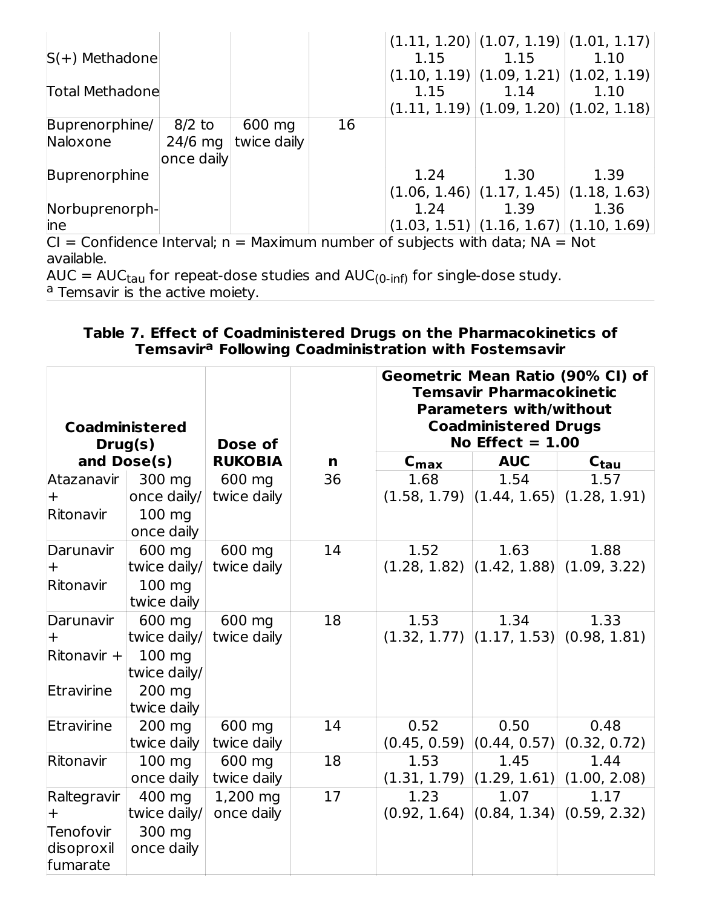|                                                                                  |            |             |    |      | $(1.11, 1.20)   (1.07, 1.19)   (1.01, 1.17)  $ |      |  |
|----------------------------------------------------------------------------------|------------|-------------|----|------|------------------------------------------------|------|--|
| $S(+)$ Methadone                                                                 |            |             |    | 1.15 | 1.15                                           | 1.10 |  |
|                                                                                  |            |             |    |      | $(1.10, 1.19)$ $(1.09, 1.21)$ $(1.02, 1.19)$   |      |  |
| <b>Total Methadone</b>                                                           |            |             |    | 1.15 | 1.14                                           | 1.10 |  |
|                                                                                  |            |             |    |      | $(1.11, 1.19)$ $(1.09, 1.20)$ $(1.02, 1.18)$   |      |  |
| Buprenorphine/                                                                   | $8/2$ to   | 600 mg      | 16 |      |                                                |      |  |
| Naloxone                                                                         | $24/6$ mg  | twice daily |    |      |                                                |      |  |
|                                                                                  | once daily |             |    |      |                                                |      |  |
| Buprenorphine                                                                    |            |             |    | 1.24 | 1.30                                           | 1.39 |  |
|                                                                                  |            |             |    |      | $(1.06, 1.46)$ $(1.17, 1.45)$ $(1.18, 1.63)$   |      |  |
| Norbuprenorph-                                                                   |            |             |    | 1.24 | 1.39                                           | 1.36 |  |
| <i>l</i> ine                                                                     |            |             |    |      | $(1.03, 1.51)   (1.16, 1.67)   (1.10, 1.69)  $ |      |  |
| $Cl =$ Confidence Interval; $n =$ Maximum number of subjects with data; NA = Not |            |             |    |      |                                                |      |  |

available.

AUC =  $AUC_{tau}$  for repeat-dose studies and  $AUC_{(0\text{-}inf)}$  for single-dose study. Temsavir is the active moiety.  $_{\rm{tau}}$  for repeat-dose studies and AUC $_{\rm{(0\text{-inf})}}$ a

#### **Table 7. Effect of Coadministered Drugs on the Pharmacokinetics of Temsavir Following Coadministration with Fostemsavir a**

| <b>Coadministered</b><br>Drug(s) |                  | Dose of        |    | Geometric Mean Ratio (90% CI) of<br><b>Temsavir Pharmacokinetic</b><br><b>Parameters with/without</b><br><b>Coadministered Drugs</b><br>No Effect $= 1.00$ |                               |                                              |  |
|----------------------------------|------------------|----------------|----|------------------------------------------------------------------------------------------------------------------------------------------------------------|-------------------------------|----------------------------------------------|--|
|                                  | and Dose(s)      | <b>RUKOBIA</b> | n  | $C_{\text{max}}$                                                                                                                                           | <b>AUC</b>                    | $C_{\text{tau}}$                             |  |
| Atazanavir                       | 300 mg           | 600 mg         | 36 | 1.68                                                                                                                                                       | 1.54                          | 1.57                                         |  |
| $+$                              | once daily/      | twice daily    |    |                                                                                                                                                            |                               | $(1.58, 1.79)$ $(1.44, 1.65)$ $(1.28, 1.91)$ |  |
| Ritonavir                        | 100 mg           |                |    |                                                                                                                                                            |                               |                                              |  |
|                                  | once daily       |                |    |                                                                                                                                                            |                               |                                              |  |
| Darunavir                        | 600 mg           | 600 mg         | 14 | 1.52                                                                                                                                                       | 1.63                          | 1.88                                         |  |
| $\pm$                            | twice daily/     | twice daily    |    |                                                                                                                                                            |                               | $(1.28, 1.82)$ $(1.42, 1.88)$ $(1.09, 3.22)$ |  |
| Ritonavir                        | 100 mg           |                |    |                                                                                                                                                            |                               |                                              |  |
|                                  | twice daily      |                |    |                                                                                                                                                            |                               |                                              |  |
| Darunavir                        | 600 mg           | 600 mg         | 18 | 1.53                                                                                                                                                       | 1.34                          | 1.33                                         |  |
| $\pm$                            | twice daily/     | twice daily    |    |                                                                                                                                                            |                               | $(1.32, 1.77)$ $(1.17, 1.53)$ $(0.98, 1.81)$ |  |
| $R$ itonavir +                   | 100 mg           |                |    |                                                                                                                                                            |                               |                                              |  |
|                                  | twice daily/     |                |    |                                                                                                                                                            |                               |                                              |  |
| Etravirine                       | 200 mg           |                |    |                                                                                                                                                            |                               |                                              |  |
|                                  | twice daily      |                |    |                                                                                                                                                            |                               |                                              |  |
| Etravirine                       | 200 mg           | 600 mg         | 14 | 0.52                                                                                                                                                       | 0.50                          | 0.48                                         |  |
|                                  | twice daily      | twice daily    |    |                                                                                                                                                            | $(0.45, 0.59)$ $(0.44, 0.57)$ | (0.32, 0.72)                                 |  |
| Ritonavir                        | $100 \text{ mg}$ | 600 mg         | 18 | 1.53                                                                                                                                                       | 1.45                          | 1.44                                         |  |
|                                  | once daily       | twice daily    |    |                                                                                                                                                            |                               | $(1.31, 1.79)$ $(1.29, 1.61)$ $(1.00, 2.08)$ |  |
| Raltegravir                      | 400 mg           | 1,200 mg       | 17 | 1.23                                                                                                                                                       | 1.07                          | 1.17                                         |  |
| $\pm$                            | twice daily/     | once daily     |    |                                                                                                                                                            |                               | $(0.92, 1.64)$ $(0.84, 1.34)$ $(0.59, 2.32)$ |  |
| Tenofovir                        | 300 mg           |                |    |                                                                                                                                                            |                               |                                              |  |
| disoproxil                       | once daily       |                |    |                                                                                                                                                            |                               |                                              |  |
| fumarate                         |                  |                |    |                                                                                                                                                            |                               |                                              |  |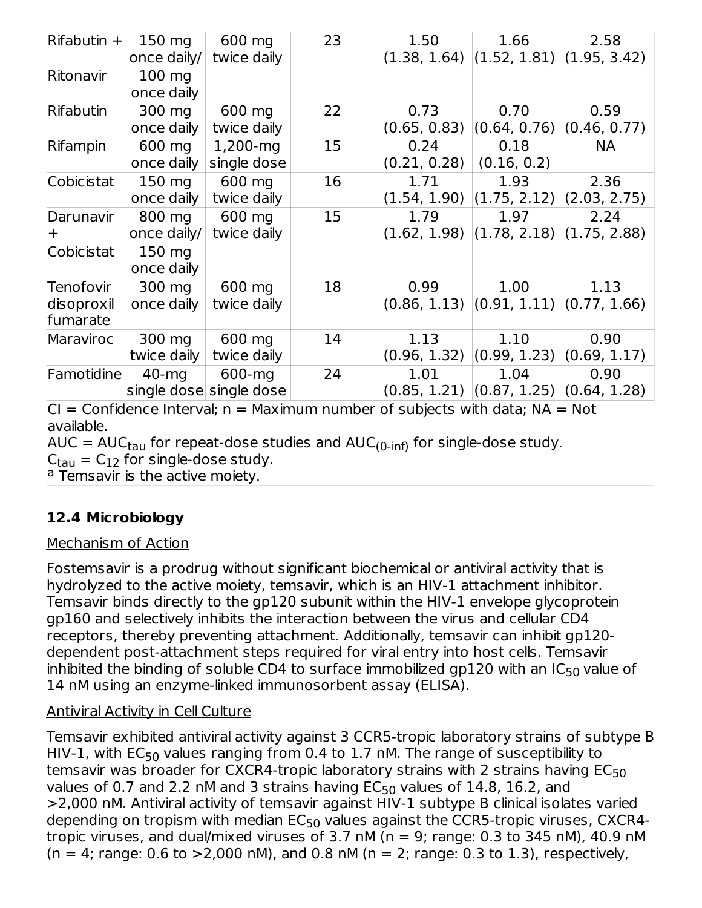| $Rifabutin +$                       | $150 \text{ mg}$<br>once daily/ | 600 mg<br>twice daily             | 23 | 1.50                                                 | 1.66                 | 2.58<br>$(1.38, 1.64)$ $(1.52, 1.81)$ $(1.95, 3.42)$ |
|-------------------------------------|---------------------------------|-----------------------------------|----|------------------------------------------------------|----------------------|------------------------------------------------------|
| Ritonavir                           | $100 \text{ mg}$<br>once daily  |                                   |    |                                                      |                      |                                                      |
| Rifabutin                           | 300 mg<br>once daily            | 600 mg<br>twice daily             | 22 | 0.73<br>(0.65, 0.83)                                 | 0.70<br>(0.64, 0.76) | 0.59<br>(0.46, 0.77)                                 |
| Rifampin                            | 600 mg<br>once daily            | 1,200-mg<br>single dose           | 15 | 0.24<br>(0.21, 0.28)                                 | 0.18<br>(0.16, 0.2)  | <b>NA</b>                                            |
| Cobicistat                          | 150 mg<br>once daily            | 600 mg<br>twice daily             | 16 | 1.71<br>$(1.54, 1.90)$ $(1.75, 2.12)$ $(2.03, 2.75)$ | 1.93                 | 2.36                                                 |
| Darunavir                           | 800 mg<br>once daily/           | 600 mg<br>twice daily             | 15 | 1.79<br>$(1.62, 1.98)$ $(1.78, 2.18)$ $(1.75, 2.88)$ | 1.97                 | 2.24                                                 |
| Cobicistat                          | 150 mg<br>once daily            |                                   |    |                                                      |                      |                                                      |
| Tenofovir<br>disoproxil<br>fumarate | 300 mg<br>once daily            | 600 mg<br>twice daily             | 18 | 0.99<br>$(0.86, 1.13)$ $(0.91, 1.11)$ $(0.77, 1.66)$ | 1.00                 | 1.13                                                 |
| Maraviroc                           | 300 mg<br>twice daily           | 600 mg<br>twice daily             | 14 | 1.13<br>(0.96, 1.32)                                 | 1.10<br>(0.99, 1.23) | 0.90<br>(0.69, 1.17)                                 |
| Famotidine                          | 40-mg                           | 600-mg<br>single dose single dose | 24 | 1.01                                                 | 1.04                 | 0.90<br>$(0.85, 1.21)$ $(0.87, 1.25)$ $(0.64, 1.28)$ |

 $CI =$  Confidence Interval;  $n =$  Maximum number of subjects with data;  $NA = Not$ available.

AUC = AUC $_{\rm{tau}}$  for repeat-dose studies and AUC $_{\rm{(0\text{-}inf)}}$  for single-dose study.

 $C<sub>tau</sub> = C<sub>12</sub>$  for single-dose study.

<sup>a</sup> Temsavir is the active moiety.

## **12.4 Microbiology**

#### Mechanism of Action

Fostemsavir is a prodrug without significant biochemical or antiviral activity that is hydrolyzed to the active moiety, temsavir, which is an HIV-1 attachment inhibitor. Temsavir binds directly to the gp120 subunit within the HIV-1 envelope glycoprotein gp160 and selectively inhibits the interaction between the virus and cellular CD4 receptors, thereby preventing attachment. Additionally, temsavir can inhibit gp120 dependent post-attachment steps required for viral entry into host cells. Temsavir inhibited the binding of soluble CD4 to surface immobilized gp120 with an IC<sub>50</sub> value of 14 nM using an enzyme-linked immunosorbent assay (ELISA).

## Antiviral Activity in Cell Culture

Temsavir exhibited antiviral activity against 3 CCR5-tropic laboratory strains of subtype B HIV-1, with  $\mathsf{EC}_{50}$  values ranging from 0.4 to 1.7 nM. The range of susceptibility to temsavir was broader for CXCR4-tropic laboratory strains with 2 strains having EC $_{50}$ values of 0.7 and 2.2 nM and 3 strains having  $EC_{50}$  values of 14.8, 16.2, and >2,000 nM. Antiviral activity of temsavir against HIV-1 subtype B clinical isolates varied depending on tropism with median  $\mathsf{EC}_{50}$  values against the CCR5-tropic viruses, CXCR4tropic viruses, and dual/mixed viruses of 3.7 nM ( $n = 9$ ; range: 0.3 to 345 nM), 40.9 nM  $(n = 4; \text{range: } 0.6 \text{ to } > 2,000 \text{ nM})$ , and 0.8 nM  $(n = 2; \text{range: } 0.3 \text{ to } 1.3)$ , respectively,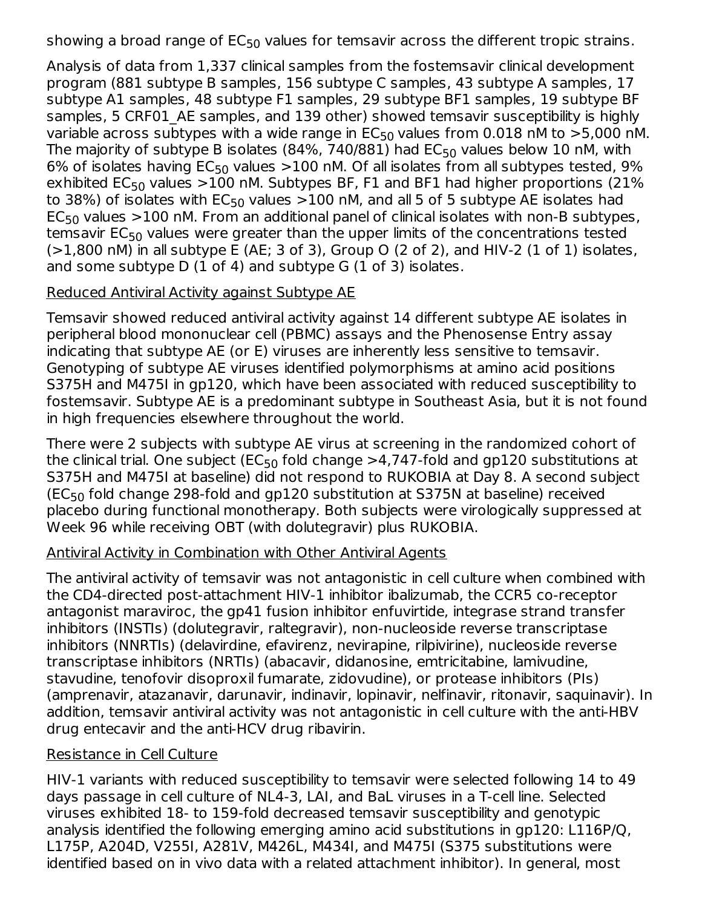showing a broad range of  $\mathsf{EC}_{50}$  values for temsavir across the different tropic strains.

Analysis of data from 1,337 clinical samples from the fostemsavir clinical development program (881 subtype B samples, 156 subtype C samples, 43 subtype A samples, 17 subtype A1 samples, 48 subtype F1 samples, 29 subtype BF1 samples, 19 subtype BF samples, 5 CRF01 AE samples, and 139 other) showed temsavir susceptibility is highly variable across subtypes with a wide range in  $\mathsf{EC}_{50}$  values from 0.018 nM to  $>\,5,000$  nM. The majority of subtype B isolates (84%, 740/881) had  $\mathsf{EC}_{50}$  values below 10 nM, with 6% of isolates having  $EC_{50}$  values  $>$ 100 nM. Of all isolates from all subtypes tested, 9% exhibited EC<sub>50</sub> values  $>$ 100 nM. Subtypes BF, F1 and BF1 had higher proportions (21% to 38%) of isolates with  $\mathsf{EC}_{50}$  values  ${>}100$  nM, and all 5 of 5 subtype AE isolates had  $\mathsf{EC}_{50}$  values  $>$ 100 nM. From an additional panel of clinical isolates with non-B subtypes, temsavir EC $_{50}$  values were greater than the upper limits of the concentrations tested  $(>1,800$  nM) in all subtype E (AE; 3 of 3), Group O (2 of 2), and HIV-2 (1 of 1) isolates, and some subtype D (1 of 4) and subtype G (1 of 3) isolates.

## Reduced Antiviral Activity against Subtype AE

Temsavir showed reduced antiviral activity against 14 different subtype AE isolates in peripheral blood mononuclear cell (PBMC) assays and the Phenosense Entry assay indicating that subtype AE (or E) viruses are inherently less sensitive to temsavir. Genotyping of subtype AE viruses identified polymorphisms at amino acid positions S375H and M475I in gp120, which have been associated with reduced susceptibility to fostemsavir. Subtype AE is a predominant subtype in Southeast Asia, but it is not found in high frequencies elsewhere throughout the world.

There were 2 subjects with subtype AE virus at screening in the randomized cohort of the clinical trial. One subject (EC $_{50}$  fold change >4,747-fold and gp120 substitutions at S375H and M475I at baseline) did not respond to RUKOBIA at Day 8. A second subject (EC $_{50}$  fold change 298-fold and gp120 substitution at S375N at baseline) received placebo during functional monotherapy. Both subjects were virologically suppressed at Week 96 while receiving OBT (with dolutegravir) plus RUKOBIA.

#### Antiviral Activity in Combination with Other Antiviral Agents

The antiviral activity of temsavir was not antagonistic in cell culture when combined with the CD4-directed post-attachment HIV-1 inhibitor ibalizumab, the CCR5 co-receptor antagonist maraviroc, the gp41 fusion inhibitor enfuvirtide, integrase strand transfer inhibitors (INSTIs) (dolutegravir, raltegravir), non-nucleoside reverse transcriptase inhibitors (NNRTIs) (delavirdine, efavirenz, nevirapine, rilpivirine), nucleoside reverse transcriptase inhibitors (NRTIs) (abacavir, didanosine, emtricitabine, lamivudine, stavudine, tenofovir disoproxil fumarate, zidovudine), or protease inhibitors (PIs) (amprenavir, atazanavir, darunavir, indinavir, lopinavir, nelfinavir, ritonavir, saquinavir). In addition, temsavir antiviral activity was not antagonistic in cell culture with the anti-HBV drug entecavir and the anti-HCV drug ribavirin.

#### Resistance in Cell Culture

HIV-1 variants with reduced susceptibility to temsavir were selected following 14 to 49 days passage in cell culture of NL4-3, LAI, and BaL viruses in a T-cell line. Selected viruses exhibited 18- to 159-fold decreased temsavir susceptibility and genotypic analysis identified the following emerging amino acid substitutions in gp120: L116P/Q, L175P, A204D, V255I, A281V, M426L, M434I, and M475I (S375 substitutions were identified based on in vivo data with a related attachment inhibitor). In general, most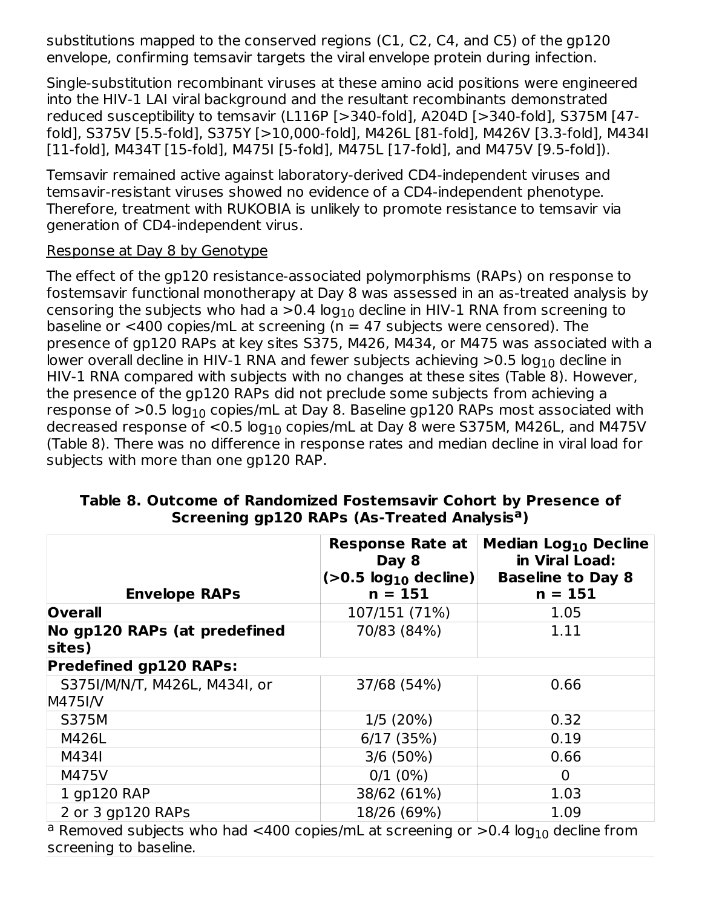substitutions mapped to the conserved regions (C1, C2, C4, and C5) of the gp120 envelope, confirming temsavir targets the viral envelope protein during infection.

Single-substitution recombinant viruses at these amino acid positions were engineered into the HIV-1 LAI viral background and the resultant recombinants demonstrated reduced susceptibility to temsavir (L116P [>340-fold], A204D [>340-fold], S375M [47 fold], S375V [5.5-fold], S375Y [>10,000-fold], M426L [81-fold], M426V [3.3-fold], M434I [11-fold], M434T [15-fold], M475I [5-fold], M475L [17-fold], and M475V [9.5-fold]).

Temsavir remained active against laboratory-derived CD4-independent viruses and temsavir-resistant viruses showed no evidence of a CD4-independent phenotype. Therefore, treatment with RUKOBIA is unlikely to promote resistance to temsavir via generation of CD4-independent virus.

#### Response at Day 8 by Genotype

The effect of the gp120 resistance-associated polymorphisms (RAPs) on response to fostemsavir functional monotherapy at Day 8 was assessed in an as-treated analysis by censoring the subjects who had a  ${>}0.4$  log $_{10}$  decline in HIV-1 RNA from screening to baseline or  $<$ 400 copies/mL at screening (n = 47 subjects were censored). The presence of gp120 RAPs at key sites S375, M426, M434, or M475 was associated with a lower overall decline in HIV-1 RNA and fewer subjects achieving  ${>}0.5$  log $_{10}$  decline in HIV-1 RNA compared with subjects with no changes at these sites (Table 8). However, the presence of the gp120 RAPs did not preclude some subjects from achieving a response of  ${>}0.5$  log $_{10}$  copies/mL at Day 8. Baseline gp120 RAPs most associated with decreased response of  $<$ 0.5 log $_{10}$  copies/mL at Day 8 were S375M, M426L, and M475V (Table 8). There was no difference in response rates and median decline in viral load for subjects with more than one gp120 RAP.

| Screening gp120 RAPs (As-Treated Analysis <sup>a</sup> ) |                             |                                                                       |  |  |
|----------------------------------------------------------|-----------------------------|-----------------------------------------------------------------------|--|--|
|                                                          | Day 8                       | Response Rate at   Median Log <sub>10</sub> Decline<br>in Viral Load: |  |  |
|                                                          | $ (>0.5 \log_{10}$ decline) | <b>Baseline to Day 8</b>                                              |  |  |

# **Table 8. Outcome of Randomized Fostemsavir Cohort by Presence of**

| <b>Envelope RAPs</b>                   | Day 8<br>$(>0.5 \log_{10}$ decline)<br>$n = 151$ | ın vıral Load:<br><b>Baseline to Day 8</b><br>$n = 151$ |  |  |
|----------------------------------------|--------------------------------------------------|---------------------------------------------------------|--|--|
| <b>Overall</b>                         | 107/151 (71%)                                    | 1.05                                                    |  |  |
| No gp120 RAPs (at predefined<br>sites) | 70/83 (84%)                                      | 1.11                                                    |  |  |
| <b>Predefined gp120 RAPs:</b>          |                                                  |                                                         |  |  |
| S375I/M/N/T, M426L, M434I, or          | 37/68 (54%)                                      | 0.66                                                    |  |  |
| <b>M475I/V</b>                         |                                                  |                                                         |  |  |
| <b>S375M</b>                           | 1/5(20%)                                         | 0.32                                                    |  |  |
| M426L                                  | 6/17(35%)                                        | 0.19                                                    |  |  |
| M434I                                  | $3/6(50\%)$                                      | 0.66                                                    |  |  |
| M475V                                  | $0/1$ (0%)                                       | 0                                                       |  |  |
| 1 gp120 RAP                            | 38/62 (61%)                                      | 1.03                                                    |  |  |
| 2 or 3 gp120 RAPs                      | 18/26 (69%)                                      | 1.09                                                    |  |  |
|                                        |                                                  | $\sim$ $\sim$ $\sim$                                    |  |  |

 $^{\text{a}}$  Removed subjects who had <400 copies/mL at screening or >0.4 log $_{10}$  decline from screening to baseline.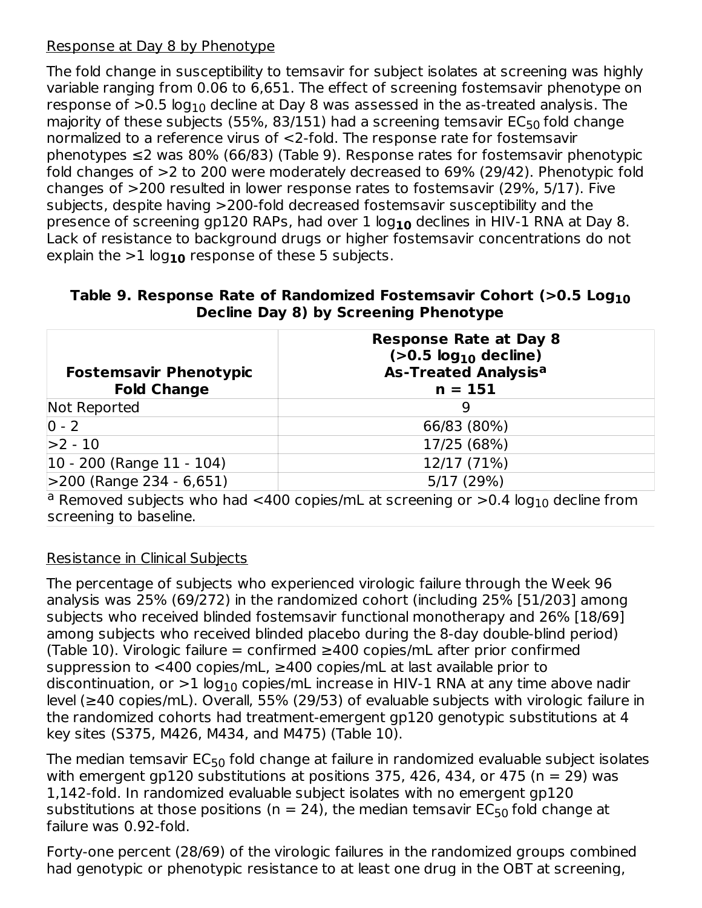#### Response at Day 8 by Phenotype

The fold change in susceptibility to temsavir for subject isolates at screening was highly variable ranging from 0.06 to 6,651. The effect of screening fostemsavir phenotype on response of  ${>}0.5$  log $_{10}$  decline at Day 8 was assessed in the as-treated analysis. The majority of these subjects (55%, 83/151) had a screening temsavir  $\mathsf{EC}_{50}$  fold change normalized to a reference virus of <2‑fold. The response rate for fostemsavir phenotypes ≤2 was 80% (66/83) (Table 9). Response rates for fostemsavir phenotypic fold changes of >2 to 200 were moderately decreased to 69% (29/42). Phenotypic fold changes of >200 resulted in lower response rates to fostemsavir (29%, 5/17). Five subjects, despite having >200-fold decreased fostemsavir susceptibility and the presence of screening gp120 RAPs, had over 1 log<sub>10</sub> declines in HIV-1 RNA at Day 8. Lack of resistance to background drugs or higher fostemsavir concentrations do not explain the  $>$ 1 log $_{\bf 10}$  response of these 5 subjects.

**Table 9. Response Rate of Randomized Fostemsavir Cohort (>0.5 Log 10 Decline Day 8) by Screening Phenotype**

| <b>Fostemsavir Phenotypic</b><br><b>Fold Change</b> | <b>Response Rate at Day 8</b><br>$(>0.5 \log_{10}$ decline)<br><b>As-Treated Analysisa</b><br>$n = 151$ |  |  |
|-----------------------------------------------------|---------------------------------------------------------------------------------------------------------|--|--|
| Not Reported                                        | 9                                                                                                       |  |  |
| $0 - 2$                                             | 66/83 (80%)                                                                                             |  |  |
| $>2 - 10$                                           | 17/25 (68%)                                                                                             |  |  |
| $ 10 - 200 $ (Range 11 - 104)                       | 12/17 (71%)                                                                                             |  |  |
| $>$ 200 (Range 234 - 6,651)                         | 5/17 (29%)                                                                                              |  |  |
|                                                     | $\alpha$ Domaved subjects who had $\geq$ 400 sonies (m) at screening or $\geq$ 0.4 logs decline from    |  |  |

 $^{\text{a}}$  Removed subjects who had <400 copies/mL at screening or >0.4 log $_{10}$  decline from screening to baseline.

## Resistance in Clinical Subjects

The percentage of subjects who experienced virologic failure through the Week 96 analysis was 25% (69/272) in the randomized cohort (including 25% [51/203] among subjects who received blinded fostemsavir functional monotherapy and 26% [18/69] among subjects who received blinded placebo during the 8‑day double-blind period) (Table 10). Virologic failure = confirmed  $≥400$  copies/mL after prior confirmed suppression to  $<$ 400 copies/mL,  $\geq$ 400 copies/mL at last available prior to discontinuation, or  $>\!1$  log $_{10}$  copies/mL increase in HIV-1 RNA at any time above nadir level (≥40 copies/mL). Overall, 55% (29/53) of evaluable subjects with virologic failure in the randomized cohorts had treatment-emergent gp120 genotypic substitutions at 4 key sites (S375, M426, M434, and M475) (Table 10).

The median temsavir EC $_{50}$  fold change at failure in randomized evaluable subject isolates with emergent gp120 substitutions at positions 375, 426, 434, or 475 ( $n = 29$ ) was 1,142-fold. In randomized evaluable subject isolates with no emergent gp120 substitutions at those positions (n = 24), the median temsavir EC $_{50}$  fold change at failure was 0.92-fold.

Forty-one percent (28/69) of the virologic failures in the randomized groups combined had genotypic or phenotypic resistance to at least one drug in the OBT at screening,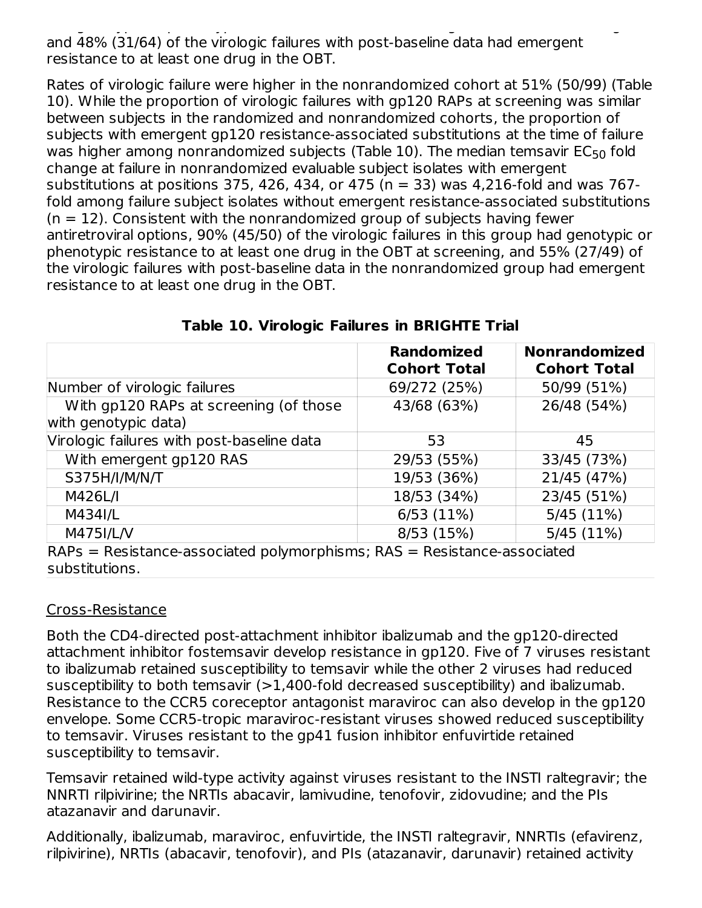had genotypic or phenotypic resistance to at least one drug in the OBT at screening, and 48% (31/64) of the virologic failures with post-baseline data had emergent resistance to at least one drug in the OBT.

Rates of virologic failure were higher in the nonrandomized cohort at 51% (50/99) (Table 10). While the proportion of virologic failures with gp120 RAPs at screening was similar between subjects in the randomized and nonrandomized cohorts, the proportion of subjects with emergent gp120 resistance-associated substitutions at the time of failure was higher among nonrandomized subjects (Table 10). The median temsavir  $\mathsf{EC}_{50}$  fold change at failure in nonrandomized evaluable subject isolates with emergent substitutions at positions 375, 426, 434, or 475 ( $n = 33$ ) was 4,216-fold and was 767fold among failure subject isolates without emergent resistance-associated substitutions  $(n = 12)$ . Consistent with the nonrandomized group of subjects having fewer antiretroviral options, 90% (45/50) of the virologic failures in this group had genotypic or phenotypic resistance to at least one drug in the OBT at screening, and 55% (27/49) of the virologic failures with post-baseline data in the nonrandomized group had emergent resistance to at least one drug in the OBT.

|                                                                                                                                                                                                                                                                                                                                                                                                       | <b>Randomized</b><br><b>Cohort Total</b> | <b>Nonrandomized</b><br><b>Cohort Total</b> |
|-------------------------------------------------------------------------------------------------------------------------------------------------------------------------------------------------------------------------------------------------------------------------------------------------------------------------------------------------------------------------------------------------------|------------------------------------------|---------------------------------------------|
| Number of virologic failures                                                                                                                                                                                                                                                                                                                                                                          | 69/272 (25%)                             | 50/99 (51%)                                 |
| With gp120 RAPs at screening (of those<br>with genotypic data)                                                                                                                                                                                                                                                                                                                                        | 43/68 (63%)                              | 26/48 (54%)                                 |
| Virologic failures with post-baseline data                                                                                                                                                                                                                                                                                                                                                            | 53                                       | 45                                          |
| With emergent gp120 RAS                                                                                                                                                                                                                                                                                                                                                                               | 29/53 (55%)                              | 33/45 (73%)                                 |
| S375H/I/M/N/T                                                                                                                                                                                                                                                                                                                                                                                         | 19/53 (36%)                              | 21/45 (47%)                                 |
| M426L/I                                                                                                                                                                                                                                                                                                                                                                                               | 18/53 (34%)                              | 23/45 (51%)                                 |
| M434I/L                                                                                                                                                                                                                                                                                                                                                                                               | 6/53(11%)                                | 5/45(11%)                                   |
| M475I/L/V<br>والمستحدث والمتمر والمحمد والمستحل المستلمانة<br>$\mathbf{D} \land \mathbf{D}$ $\mathbf{D}$ $\mathbf{D}$ $\mathbf{D}$ $\mathbf{D}$ $\mathbf{D}$ $\mathbf{D}$ $\mathbf{D}$ $\mathbf{D}$ $\mathbf{D}$ $\mathbf{D}$ $\mathbf{D}$ $\mathbf{D}$ $\mathbf{D}$ $\mathbf{D}$ $\mathbf{D}$ $\mathbf{D}$ $\mathbf{D}$ $\mathbf{D}$ $\mathbf{D}$ $\mathbf{D}$ $\mathbf{D}$ $\mathbf{D}$ $\mathbf{D$ | 8/53 (15%)<br>$RAP = R = 1.1$            | 5/45(11%)<br>المتماسط مائي                  |

**Table 10. Virologic Failures in BRIGHTE Trial**

RAPs = Resistance-associated polymorphisms; RAS = Resistance-associated substitutions.

## Cross-Resistance

Both the CD4-directed post-attachment inhibitor ibalizumab and the gp120-directed attachment inhibitor fostemsavir develop resistance in gp120. Five of 7 viruses resistant to ibalizumab retained susceptibility to temsavir while the other 2 viruses had reduced susceptibility to both temsavir (>1,400-fold decreased susceptibility) and ibalizumab. Resistance to the CCR5 coreceptor antagonist maraviroc can also develop in the gp120 envelope. Some CCR5-tropic maraviroc-resistant viruses showed reduced susceptibility to temsavir. Viruses resistant to the gp41 fusion inhibitor enfuvirtide retained susceptibility to temsavir.

Temsavir retained wild-type activity against viruses resistant to the INSTI raltegravir; the NNRTI rilpivirine; the NRTIs abacavir, lamivudine, tenofovir, zidovudine; and the PIs atazanavir and darunavir.

Additionally, ibalizumab, maraviroc, enfuvirtide, the INSTI raltegravir, NNRTIs (efavirenz, rilpivirine), NRTIs (abacavir, tenofovir), and PIs (atazanavir, darunavir) retained activity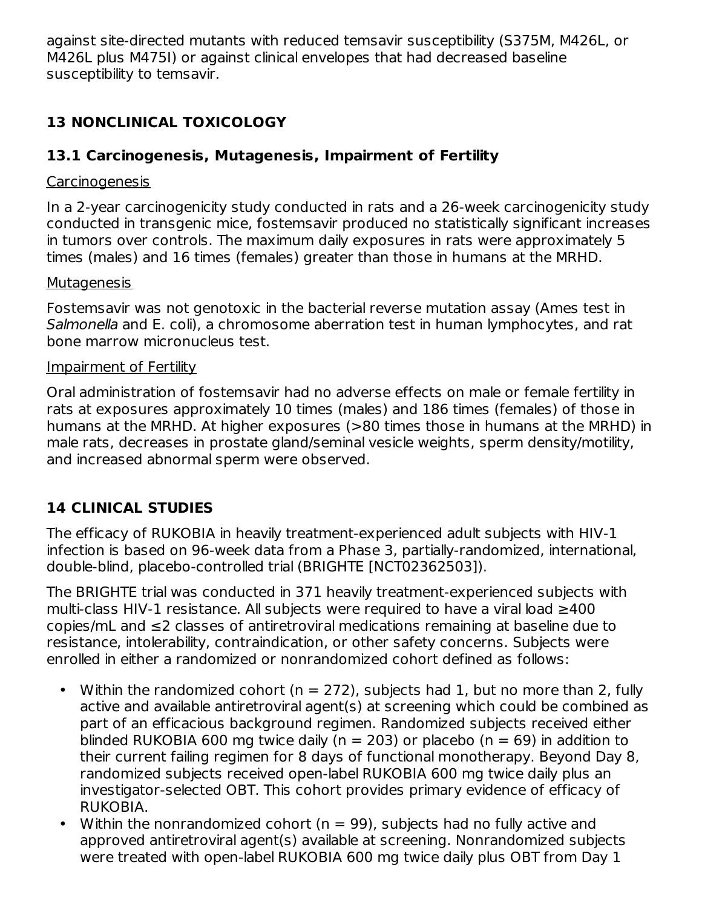against site-directed mutants with reduced temsavir susceptibility (S375M, M426L, or M426L plus M475I) or against clinical envelopes that had decreased baseline susceptibility to temsavir.

## **13 NONCLINICAL TOXICOLOGY**

## **13.1 Carcinogenesis, Mutagenesis, Impairment of Fertility**

## Carcinogenesis

In a 2-year carcinogenicity study conducted in rats and a 26-week carcinogenicity study conducted in transgenic mice, fostemsavir produced no statistically significant increases in tumors over controls. The maximum daily exposures in rats were approximately 5 times (males) and 16 times (females) greater than those in humans at the MRHD.

## **Mutagenesis**

Fostemsavir was not genotoxic in the bacterial reverse mutation assay (Ames test in Salmonella and E. coli), a chromosome aberration test in human lymphocytes, and rat bone marrow micronucleus test.

## Impairment of Fertility

Oral administration of fostemsavir had no adverse effects on male or female fertility in rats at exposures approximately 10 times (males) and 186 times (females) of those in humans at the MRHD. At higher exposures (>80 times those in humans at the MRHD) in male rats, decreases in prostate gland/seminal vesicle weights, sperm density/motility, and increased abnormal sperm were observed.

## **14 CLINICAL STUDIES**

The efficacy of RUKOBIA in heavily treatment-experienced adult subjects with HIV-1 infection is based on 96-week data from a Phase 3, partially-randomized, international, double-blind, placebo-controlled trial (BRIGHTE [NCT02362503]).

The BRIGHTE trial was conducted in 371 heavily treatment-experienced subjects with multi-class HIV-1 resistance. All subjects were required to have a viral load ≥400 copies/mL and ≤2 classes of antiretroviral medications remaining at baseline due to resistance, intolerability, contraindication, or other safety concerns. Subjects were enrolled in either a randomized or nonrandomized cohort defined as follows:

- Within the randomized cohort ( $n = 272$ ), subjects had 1, but no more than 2, fully active and available antiretroviral agent(s) at screening which could be combined as part of an efficacious background regimen. Randomized subjects received either blinded RUKOBIA 600 mg twice daily ( $n = 203$ ) or placebo ( $n = 69$ ) in addition to their current failing regimen for 8 days of functional monotherapy. Beyond Day 8, randomized subjects received open-label RUKOBIA 600 mg twice daily plus an investigator-selected OBT. This cohort provides primary evidence of efficacy of RUKOBIA.
- Within the nonrandomized cohort (n = 99), subjects had no fully active and approved antiretroviral agent(s) available at screening. Nonrandomized subjects were treated with open-label RUKOBIA 600 mg twice daily plus OBT from Day 1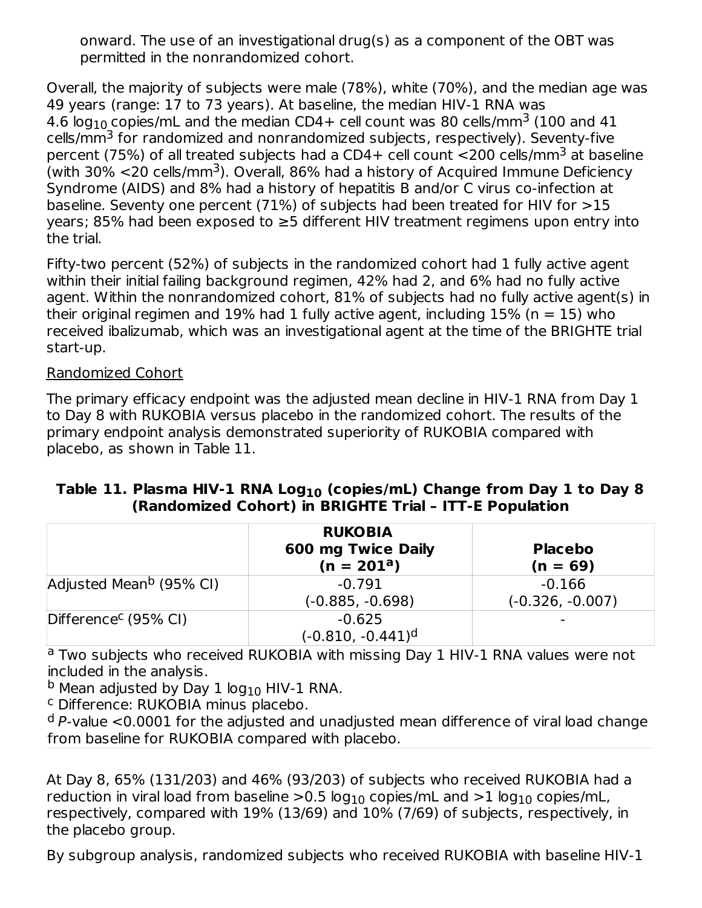onward. The use of an investigational drug(s) as a component of the OBT was permitted in the nonrandomized cohort.

Overall, the majority of subjects were male (78%), white (70%), and the median age was 49 years (range: 17 to 73 years). At baseline, the median HIV-1 RNA was 4.6 log $_{10}$  copies/mL and the median CD4+ cell count was 80 cells/mm $^3$  (100 and 41  $\,$ cells/mm<sup>3</sup> for randomized and nonrandomized subjects, respectively). Seventy-five percent (75%) of all treated subjects had a CD4+ cell count <200 cells/mm<sup>3</sup> at baseline (with 30%  $\leq$ 20 cells/mm<sup>3</sup>). Overall, 86% had a history of Acquired Immune Deficiency Syndrome (AIDS) and 8% had a history of hepatitis B and/or C virus co-infection at baseline. Seventy one percent (71%) of subjects had been treated for HIV for >15 years; 85% had been exposed to ≥5 different HIV treatment regimens upon entry into the trial.

Fifty-two percent (52%) of subjects in the randomized cohort had 1 fully active agent within their initial failing background regimen, 42% had 2, and 6% had no fully active agent. Within the nonrandomized cohort, 81% of subjects had no fully active agent(s) in their original regimen and 19% had 1 fully active agent, including  $15\%$  (n = 15) who received ibalizumab, which was an investigational agent at the time of the BRIGHTE trial start-up.

#### Randomized Cohort

The primary efficacy endpoint was the adjusted mean decline in HIV-1 RNA from Day 1 to Day 8 with RUKOBIA versus placebo in the randomized cohort. The results of the primary endpoint analysis demonstrated superiority of RUKOBIA compared with placebo, as shown in Table 11.

#### **Table 11. Plasma HIV-1 RNA Log (copies/mL) Change from Day 1 to Day 8 10 (Randomized Cohort) in BRIGHTE Trial – ITT-E Population**

|                                     | <b>RUKOBIA</b><br>600 mg Twice Daily<br>$(n = 201a)$ | <b>Placebo</b><br>$(n = 69)$   |
|-------------------------------------|------------------------------------------------------|--------------------------------|
| Adjusted Mean <sup>b</sup> (95% CI) | $-0.791$<br>$(-0.885, -0.698)$                       | $-0.166$<br>$(-0.326, -0.007)$ |
| Difference <sup>c</sup> (95% CI)    | $-0.625$<br>$(-0.810, -0.441)^d$                     |                                |

<sup>a</sup> Two subjects who received RUKOBIA with missing Day 1 HIV-1 RNA values were not included in the analysis.

 $^{\sf b}$  Mean adjusted by Day 1 log $_{10}$  HIV-1 RNA.

<sup>c</sup> Difference: RUKOBIA minus placebo.

 $^{\text{d}}$  P-value <0.0001 for the adjusted and unadjusted mean difference of viral load change from baseline for RUKOBIA compared with placebo.

At Day 8, 65% (131/203) and 46% (93/203) of subjects who received RUKOBIA had a reduction in viral load from baseline  $>\!0.5$  log $_{10}$  copies/mL and  $>\!1$  log $_{10}$  copies/mL, respectively, compared with 19% (13/69) and 10% (7/69) of subjects, respectively, in the placebo group.

By subgroup analysis, randomized subjects who received RUKOBIA with baseline HIV-1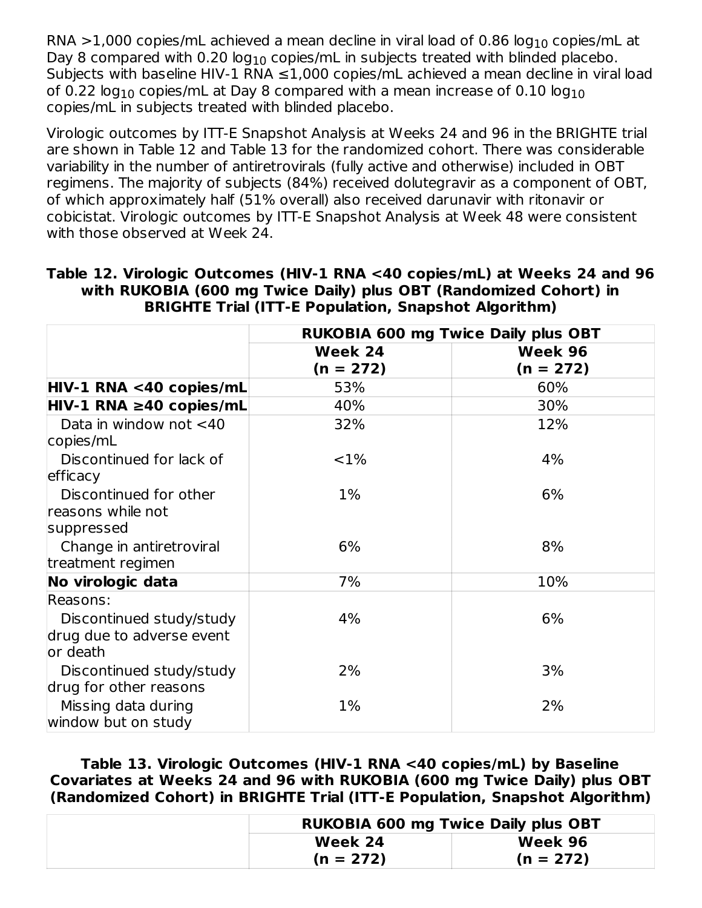RNA >1,000 copies/mL achieved a mean decline in viral load of 0.86 log $_{\rm 10}$  copies/mL at Day 8 compared with  $0.20$  log $_{10}$  copies/mL in subjects treated with blinded placebo. Subjects with baseline HIV-1 RNA  $\leq$ 1,000 copies/mL achieved a mean decline in viral load of 0.22 log $_{10}$  copies/mL at Day 8 compared with a mean increase of 0.10 log $_{10}$ copies/mL in subjects treated with blinded placebo.

Virologic outcomes by ITT-E Snapshot Analysis at Weeks 24 and 96 in the BRIGHTE trial are shown in Table 12 and Table 13 for the randomized cohort. There was considerable variability in the number of antiretrovirals (fully active and otherwise) included in OBT regimens. The majority of subjects (84%) received dolutegravir as a component of OBT, of which approximately half (51% overall) also received darunavir with ritonavir or cobicistat. Virologic outcomes by ITT-E Snapshot Analysis at Week 48 were consistent with those observed at Week 24.

|                                                    | <b>RUKOBIA 600 mg Twice Daily plus OBT</b> |                        |  |
|----------------------------------------------------|--------------------------------------------|------------------------|--|
|                                                    | Week 24<br>$(n = 272)$                     | Week 96<br>$(n = 272)$ |  |
| HIV-1 RNA <40 copies/mL                            | 53%                                        | 60%                    |  |
| $HIV-1 RNA \geq 40 copies/mL$                      | 40%                                        | 30%                    |  |
| Data in window not $<$ 40<br>copies/mL             | 32%                                        | 12%                    |  |
| Discontinued for lack of<br>efficacy               | ${<}1\%$                                   | 4%                     |  |
| Discontinued for other<br>reasons while not        | $1\%$                                      | 6%                     |  |
| suppressed                                         |                                            |                        |  |
| Change in antiretroviral<br>treatment regimen      | 6%                                         | 8%                     |  |
| No virologic data                                  | 7%                                         | 10%                    |  |
| Reasons:<br>Discontinued study/study               | 4%                                         | 6%                     |  |
| drug due to adverse event<br>or death              |                                            |                        |  |
| Discontinued study/study<br>drug for other reasons | 2%                                         | 3%                     |  |
| Missing data during<br>window but on study         | $1\%$                                      | 2%                     |  |

**Table 12. Virologic Outcomes (HIV-1 RNA <40 copies/mL) at Weeks 24 and 96 with RUKOBIA (600 mg Twice Daily) plus OBT (Randomized Cohort) in BRIGHTE Trial (ITT-E Population, Snapshot Algorithm)**

**Table 13. Virologic Outcomes (HIV-1 RNA <40 copies/mL) by Baseline Covariates at Weeks 24 and 96 with RUKOBIA (600 mg Twice Daily) plus OBT (Randomized Cohort) in BRIGHTE Trial (ITT-E Population, Snapshot Algorithm)**

| <b>RUKOBIA 600 mg Twice Daily plus OBT</b> |             |  |  |
|--------------------------------------------|-------------|--|--|
| Week 24                                    | Week 96     |  |  |
| $(n = 272)$                                | $(n = 272)$ |  |  |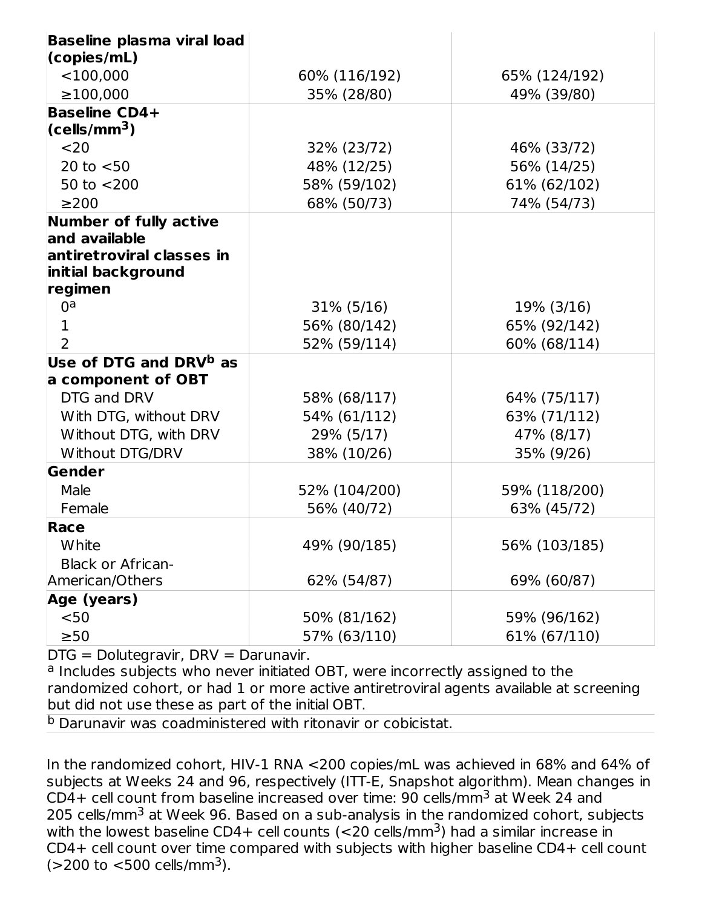| <b>Baseline plasma viral load</b>  |               |               |  |  |
|------------------------------------|---------------|---------------|--|--|
| (copies/mL)<br>$<$ 100,000         | 60% (116/192) | 65% (124/192) |  |  |
| $\geq$ 100,000                     | 35% (28/80)   | 49% (39/80)   |  |  |
| <b>Baseline CD4+</b>               |               |               |  |  |
| (cells/mm <sup>3</sup> )           |               |               |  |  |
| $20$                               | 32% (23/72)   | 46% (33/72)   |  |  |
| 20 to $< 50$                       | 48% (12/25)   | 56% (14/25)   |  |  |
| 50 to $<$ 200                      | 58% (59/102)  | 61% (62/102)  |  |  |
| $\geq$ 200                         | 68% (50/73)   | 74% (54/73)   |  |  |
| <b>Number of fully active</b>      |               |               |  |  |
| and available                      |               |               |  |  |
| antiretroviral classes in          |               |               |  |  |
| initial background                 |               |               |  |  |
| regimen                            |               |               |  |  |
| 0 <sup>a</sup>                     | $31\%$ (5/16) | 19% (3/16)    |  |  |
| 1                                  | 56% (80/142)  | 65% (92/142)  |  |  |
| 2                                  | 52% (59/114)  | 60% (68/114)  |  |  |
| Use of DTG and DRV <sup>b</sup> as |               |               |  |  |
| a component of OBT                 |               |               |  |  |
| DTG and DRV                        | 58% (68/117)  | 64% (75/117)  |  |  |
| With DTG, without DRV              | 54% (61/112)  | 63% (71/112)  |  |  |
| Without DTG, with DRV              | 29% (5/17)    | 47% (8/17)    |  |  |
| Without DTG/DRV                    | 38% (10/26)   | 35% (9/26)    |  |  |
| Gender                             |               |               |  |  |
| Male                               | 52% (104/200) | 59% (118/200) |  |  |
| Female                             | 56% (40/72)   | 63% (45/72)   |  |  |
| Race                               |               |               |  |  |
| White                              | 49% (90/185)  | 56% (103/185) |  |  |
| <b>Black or African-</b>           |               |               |  |  |
| American/Others                    | 62% (54/87)   | 69% (60/87)   |  |  |
| Age (years)                        |               |               |  |  |
| $50$                               | 50% (81/162)  | 59% (96/162)  |  |  |
| $\geq 50$                          | 57% (63/110)  | 61% (67/110)  |  |  |

DTG = Dolutegravir, DRV = Darunavir.

<sup>a</sup> Includes subjects who never initiated OBT, were incorrectly assigned to the randomized cohort, or had 1 or more active antiretroviral agents available at screening but did not use these as part of the initial OBT.

<sup>b</sup> Darunavir was coadministered with ritonavir or cobicistat.

In the randomized cohort, HIV-1 RNA <200 copies/mL was achieved in 68% and 64% of subjects at Weeks 24 and 96, respectively (ITT-E, Snapshot algorithm). Mean changes in CD4+ cell count from baseline increased over time:  $90$  cells/mm $3$  at Week 24 and 205 cells/mm<sup>3</sup> at Week 96. Based on a sub-analysis in the randomized cohort, subjects with the lowest baseline CD4+ cell counts (<20 cells/mm<sup>3</sup>) had a similar increase in CD4+ cell count over time compared with subjects with higher baseline CD4+ cell count  $($ >200 to <500 cells/mm<sup>3</sup>).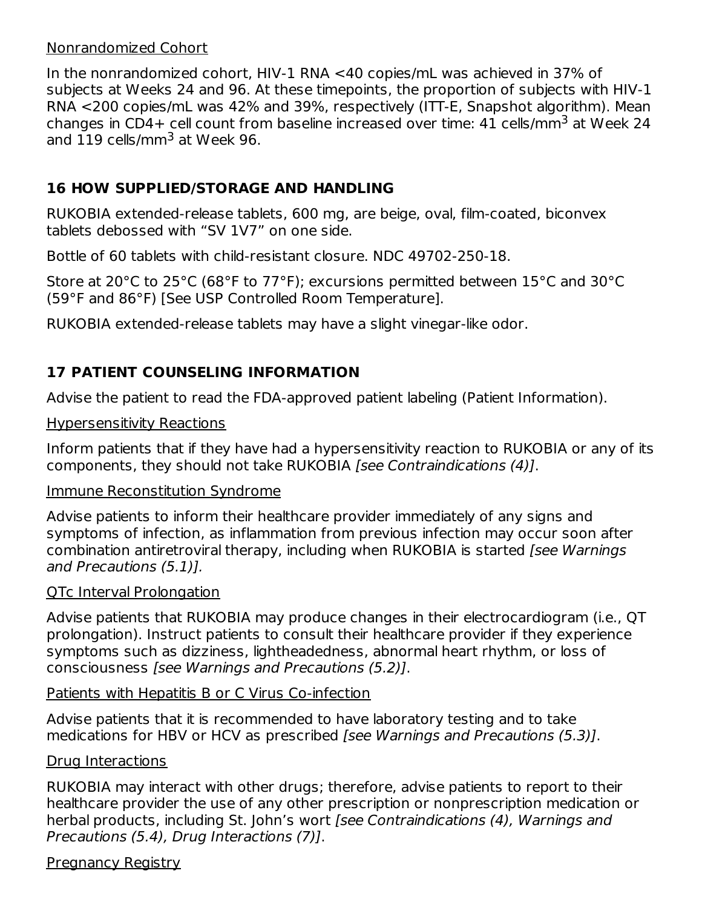#### Nonrandomized Cohort

In the nonrandomized cohort, HIV-1 RNA <40 copies/mL was achieved in 37% of subjects at Weeks 24 and 96. At these timepoints, the proportion of subjects with HIV-1 RNA <200 copies/mL was 42% and 39%, respectively (ITT-E, Snapshot algorithm). Mean changes in CD4+ cell count from baseline increased over time: 41 cells/mm $^3$  at Week 24  $\,$ and  $119$  cells/mm $^3$  at Week 96.

## **16 HOW SUPPLIED/STORAGE AND HANDLING**

RUKOBIA extended-release tablets, 600 mg, are beige, oval, film-coated, biconvex tablets debossed with "SV 1V7" on one side.

Bottle of 60 tablets with child-resistant closure. NDC 49702-250-18.

Store at 20°C to 25°C (68°F to 77°F); excursions permitted between 15°C and 30°C (59°F and 86°F) [See USP Controlled Room Temperature].

RUKOBIA extended-release tablets may have a slight vinegar-like odor.

## **17 PATIENT COUNSELING INFORMATION**

Advise the patient to read the FDA-approved patient labeling (Patient Information).

#### Hypersensitivity Reactions

Inform patients that if they have had a hypersensitivity reaction to RUKOBIA or any of its components, they should not take RUKOBIA [see Contraindications (4)].

#### Immune Reconstitution Syndrome

Advise patients to inform their healthcare provider immediately of any signs and symptoms of infection, as inflammation from previous infection may occur soon after combination antiretroviral therapy, including when RUKOBIA is started [see Warnings and Precautions (5.1)].

#### QTc Interval Prolongation

Advise patients that RUKOBIA may produce changes in their electrocardiogram (i.e., QT prolongation). Instruct patients to consult their healthcare provider if they experience symptoms such as dizziness, lightheadedness, abnormal heart rhythm, or loss of consciousness [see Warnings and Precautions (5.2)].

#### Patients with Hepatitis B or C Virus Co-infection

Advise patients that it is recommended to have laboratory testing and to take medications for HBV or HCV as prescribed [see Warnings and Precautions (5.3)].

#### Drug Interactions

RUKOBIA may interact with other drugs; therefore, advise patients to report to their healthcare provider the use of any other prescription or nonprescription medication or herbal products, including St. John's wort [see Contraindications (4), Warnings and Precautions (5.4), Drug Interactions (7)].

#### **Pregnancy Registry**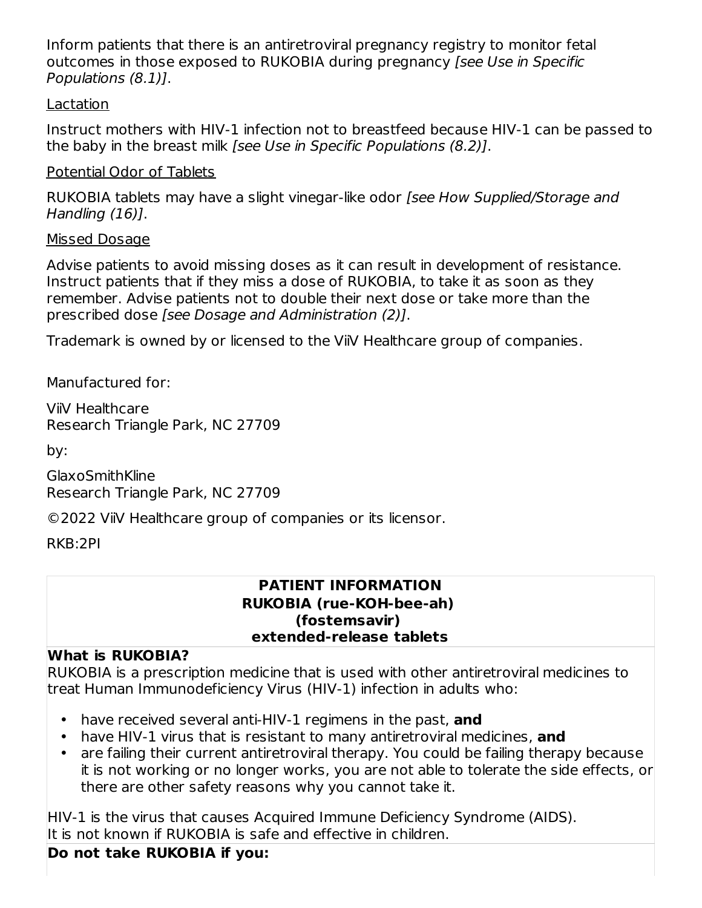Inform patients that there is an antiretroviral pregnancy registry to monitor fetal outcomes in those exposed to RUKOBIA during pregnancy [see Use in Specific Populations (8.1)].

#### Lactation

Instruct mothers with HIV-1 infection not to breastfeed because HIV-1 can be passed to the baby in the breast milk [see Use in Specific Populations (8.2)].

#### Potential Odor of Tablets

RUKOBIA tablets may have a slight vinegar-like odor [see How Supplied/Storage and Handling (16)].

#### Missed Dosage

Advise patients to avoid missing doses as it can result in development of resistance. Instruct patients that if they miss a dose of RUKOBIA, to take it as soon as they remember. Advise patients not to double their next dose or take more than the prescribed dose [see Dosage and Administration (2)].

Trademark is owned by or licensed to the ViiV Healthcare group of companies.

Manufactured for:

ViiV Healthcare Research Triangle Park, NC 27709

by:

GlaxoSmithKline Research Triangle Park, NC 27709

©2022 ViiV Healthcare group of companies or its licensor.

RKB:2PI

#### **PATIENT INFORMATION RUKOBIA (rue-KOH-bee-ah) (fostemsavir) extended-release tablets**

#### **What is RUKOBIA?**

RUKOBIA is a prescription medicine that is used with other antiretroviral medicines to treat Human Immunodeficiency Virus (HIV-1) infection in adults who:

- have received several anti-HIV-1 regimens in the past, **and**
- have HIV-1 virus that is resistant to many antiretroviral medicines, **and**
- are failing their current antiretroviral therapy. You could be failing therapy because it is not working or no longer works, you are not able to tolerate the side effects, or there are other safety reasons why you cannot take it.

HIV-1 is the virus that causes Acquired Immune Deficiency Syndrome (AIDS). It is not known if RUKOBIA is safe and effective in children.

#### **Do not take RUKOBIA if you:**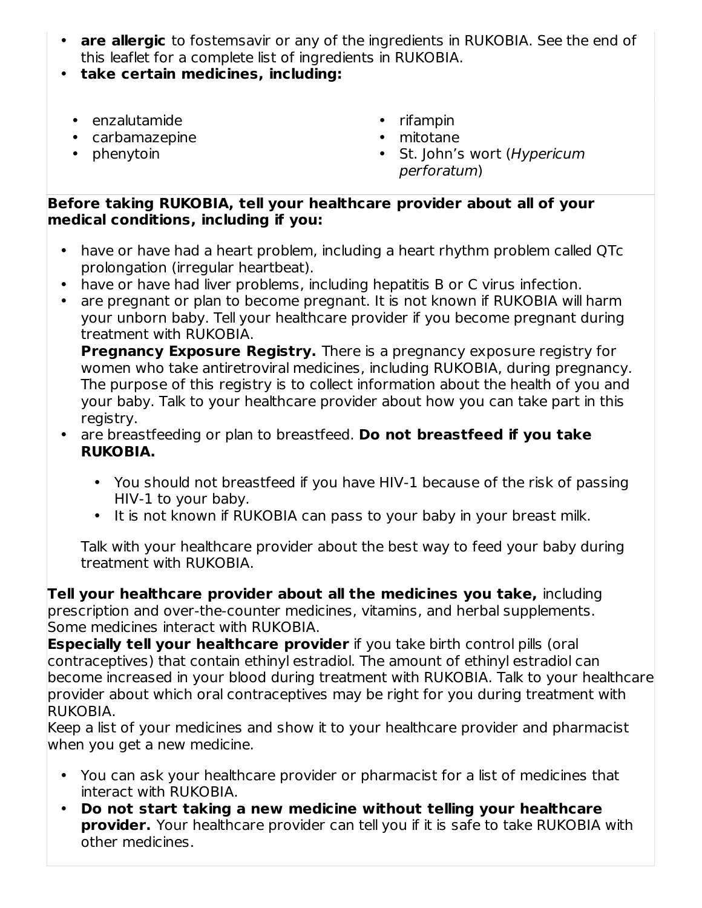- **are allergic** to fostemsavir or any of the ingredients in RUKOBIA. See the end of this leaflet for a complete list of ingredients in RUKOBIA.
- **take certain medicines, including:**
	- enzalutamide
	- carbamazepine
	- phenytoin
- rifampin
- mitotane
- St. John's wort (Hypericum perforatum)

#### **Before taking RUKOBIA, tell your healthcare provider about all of your medical conditions, including if you:**

- have or have had a heart problem, including a heart rhythm problem called QTc prolongation (irregular heartbeat).
- have or have had liver problems, including hepatitis B or C virus infection.
- are pregnant or plan to become pregnant. It is not known if RUKOBIA will harm your unborn baby. Tell your healthcare provider if you become pregnant during treatment with RUKOBIA.

**Pregnancy Exposure Registry.** There is a pregnancy exposure registry for women who take antiretroviral medicines, including RUKOBIA, during pregnancy. The purpose of this registry is to collect information about the health of you and your baby. Talk to your healthcare provider about how you can take part in this registry.

- are breastfeeding or plan to breastfeed. **Do not breastfeed if you take RUKOBIA.**
	- You should not breastfeed if you have HIV-1 because of the risk of passing HIV-1 to your baby.
	- It is not known if RUKOBIA can pass to your baby in your breast milk.

Talk with your healthcare provider about the best way to feed your baby during treatment with RUKOBIA.

**Tell your healthcare provider about all the medicines you take,** including prescription and over-the-counter medicines, vitamins, and herbal supplements. Some medicines interact with RUKOBIA.

**Especially tell your healthcare provider** if you take birth control pills (oral contraceptives) that contain ethinyl estradiol. The amount of ethinyl estradiol can become increased in your blood during treatment with RUKOBIA. Talk to your healthcare provider about which oral contraceptives may be right for you during treatment with RUKOBIA.

Keep a list of your medicines and show it to your healthcare provider and pharmacist when you get a new medicine.

- You can ask your healthcare provider or pharmacist for a list of medicines that interact with RUKOBIA.
- **Do not start taking a new medicine without telling your healthcare provider.** Your healthcare provider can tell you if it is safe to take RUKOBIA with other medicines.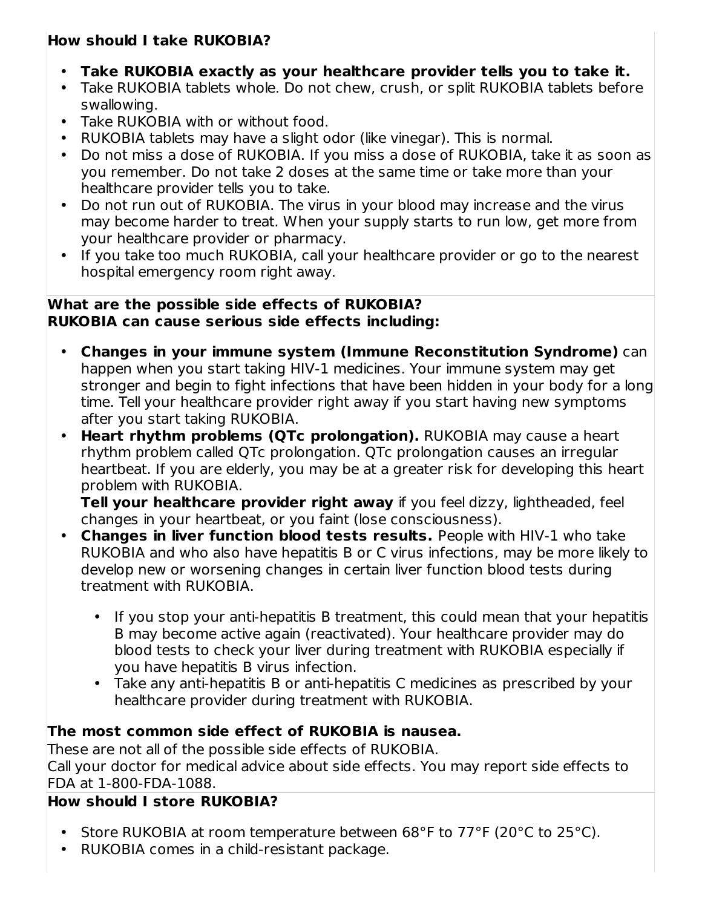## **How should I take RUKOBIA?**

- **Take RUKOBIA exactly as your healthcare provider tells you to take it.**
- Take RUKOBIA tablets whole. Do not chew, crush, or split RUKOBIA tablets before swallowing.
- Take RUKOBIA with or without food.
- RUKOBIA tablets may have a slight odor (like vinegar). This is normal.
- Do not miss a dose of RUKOBIA. If you miss a dose of RUKOBIA, take it as soon as you remember. Do not take 2 doses at the same time or take more than your healthcare provider tells you to take.
- Do not run out of RUKOBIA. The virus in your blood may increase and the virus may become harder to treat. When your supply starts to run low, get more from your healthcare provider or pharmacy.
- $\bullet$ If you take too much RUKOBIA, call your healthcare provider or go to the nearest hospital emergency room right away.

## **What are the possible side effects of RUKOBIA? RUKOBIA can cause serious side effects including:**

- **Changes in your immune system (Immune Reconstitution Syndrome)** can happen when you start taking HIV-1 medicines. Your immune system may get stronger and begin to fight infections that have been hidden in your body for a long time. Tell your healthcare provider right away if you start having new symptoms after you start taking RUKOBIA.
- **Heart rhythm problems (QTc prolongation).** RUKOBIA may cause a heart rhythm problem called QTc prolongation. QTc prolongation causes an irregular heartbeat. If you are elderly, you may be at a greater risk for developing this heart problem with RUKOBIA.

**Tell your healthcare provider right away** if you feel dizzy, lightheaded, feel changes in your heartbeat, or you faint (lose consciousness).

- **Changes in liver function blood tests results.** People with HIV-1 who take RUKOBIA and who also have hepatitis B or C virus infections, may be more likely to develop new or worsening changes in certain liver function blood tests during treatment with RUKOBIA.
	- If you stop your anti-hepatitis B treatment, this could mean that your hepatitis B may become active again (reactivated). Your healthcare provider may do blood tests to check your liver during treatment with RUKOBIA especially if you have hepatitis B virus infection.
	- Take any anti-hepatitis B or anti-hepatitis C medicines as prescribed by your healthcare provider during treatment with RUKOBIA.

## **The most common side effect of RUKOBIA is nausea.**

These are not all of the possible side effects of RUKOBIA. Call your doctor for medical advice about side effects. You may report side effects to FDA at 1‑800‑FDA‑1088.

## **How should I store RUKOBIA?**

- Store RUKOBIA at room temperature between 68°F to 77°F (20°C to 25°C).
- RUKOBIA comes in a child-resistant package.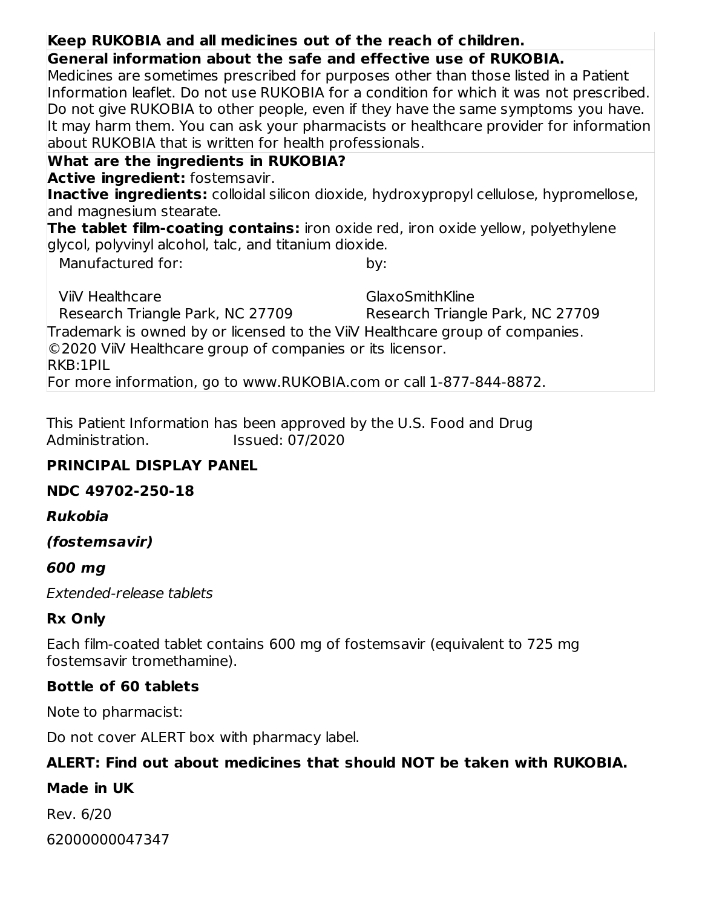## **Keep RUKOBIA and all medicines out of the reach of children.**

**General information about the safe and effective use of RUKOBIA.**

Medicines are sometimes prescribed for purposes other than those listed in a Patient Information leaflet. Do not use RUKOBIA for a condition for which it was not prescribed. Do not give RUKOBIA to other people, even if they have the same symptoms you have. It may harm them. You can ask your pharmacists or healthcare provider for information about RUKOBIA that is written for health professionals.

## **What are the ingredients in RUKOBIA?**

**Active ingredient:** fostemsavir.

**Inactive ingredients:** colloidal silicon dioxide, hydroxypropyl cellulose, hypromellose, and magnesium stearate.

**The tablet film-coating contains:** iron oxide red, iron oxide yellow, polyethylene glycol, polyvinyl alcohol, talc, and titanium dioxide.

Manufactured for:

by:

ViiV Healthcare Research Triangle Park, NC 27709 GlaxoSmithKline Research Triangle Park, NC 27709 Trademark is owned by or licensed to the ViiV Healthcare group of companies. ©2020 ViiV Healthcare group of companies or its licensor. RKB:1PIL For more information, go to www.RUKOBIA.com or call 1-877-844-8872.

This Patient Information has been approved by the U.S. Food and Drug Administration. Issued: 07/2020

## **PRINCIPAL DISPLAY PANEL**

## **NDC 49702-250-18**

## **Rukobia**

**(fostemsavir)**

## **600 mg**

Extended-release tablets

## **Rx Only**

Each film-coated tablet contains 600 mg of fostemsavir (equivalent to 725 mg fostemsavir tromethamine).

## **Bottle of 60 tablets**

Note to pharmacist:

Do not cover ALERT box with pharmacy label.

## **ALERT: Find out about medicines that should NOT be taken with RUKOBIA.**

## **Made in UK**

Rev. 6/20 62000000047347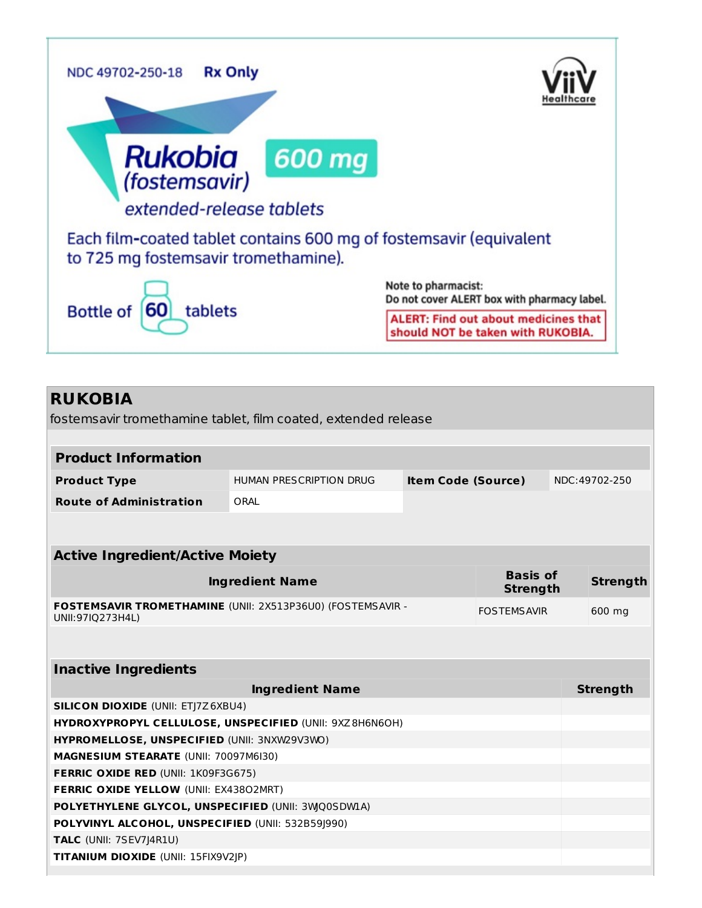

## **RUKOBIA**

fostemsavir tromethamine tablet, film coated, extended release

| <b>Product Information</b>                                                     |                         |                           |                                    |  |                 |
|--------------------------------------------------------------------------------|-------------------------|---------------------------|------------------------------------|--|-----------------|
|                                                                                |                         |                           |                                    |  |                 |
| <b>Product Type</b>                                                            | HUMAN PRESCRIPTION DRUG | <b>Item Code (Source)</b> |                                    |  | NDC:49702-250   |
| <b>Route of Administration</b>                                                 | ORAL                    |                           |                                    |  |                 |
|                                                                                |                         |                           |                                    |  |                 |
| <b>Active Ingredient/Active Moiety</b>                                         |                         |                           |                                    |  |                 |
|                                                                                | <b>Ingredient Name</b>  |                           | <b>Basis of</b><br><b>Strength</b> |  | <b>Strength</b> |
| FOSTEMSAVIR TROMETHAMINE (UNII: 2X513P36U0) (FOSTEMSAVIR -<br>UNII:97IQ273H4L) |                         |                           | <b>FOSTEMSAVIR</b>                 |  | 600 mg          |
|                                                                                |                         |                           |                                    |  |                 |
| <b>Inactive Ingredients</b>                                                    |                         |                           |                                    |  |                 |
|                                                                                | <b>Ingredient Name</b>  |                           |                                    |  | <b>Strength</b> |
| <b>SILICON DIOXIDE (UNII: ETJ7Z6XBU4)</b>                                      |                         |                           |                                    |  |                 |
| HYDROXYPROPYL CELLULOSE, UNSPECIFIED (UNII: 9XZ8H6N6OH)                        |                         |                           |                                    |  |                 |
| HYPROMELLOSE, UNSPECIFIED (UNII: 3NXW29V3WO)                                   |                         |                           |                                    |  |                 |
| <b>MAGNESIUM STEARATE (UNII: 70097M6I30)</b>                                   |                         |                           |                                    |  |                 |
| <b>FERRIC OXIDE RED (UNII: 1K09F3G675)</b>                                     |                         |                           |                                    |  |                 |
| FERRIC OXIDE YELLOW (UNII: EX43802MRT)                                         |                         |                           |                                    |  |                 |
| POLYETHYLENE GLYCOL, UNSPECIFIED (UNII: 3WQ0SDWLA)                             |                         |                           |                                    |  |                 |
| POLYVINYL ALCOHOL, UNSPECIFIED (UNII: 532B59J990)                              |                         |                           |                                    |  |                 |
| TALC (UNII: 7SEV7J4R1U)                                                        |                         |                           |                                    |  |                 |
| <b>TITANIUM DIOXIDE (UNII: 15FIX9V2JP)</b>                                     |                         |                           |                                    |  |                 |
|                                                                                |                         |                           |                                    |  |                 |